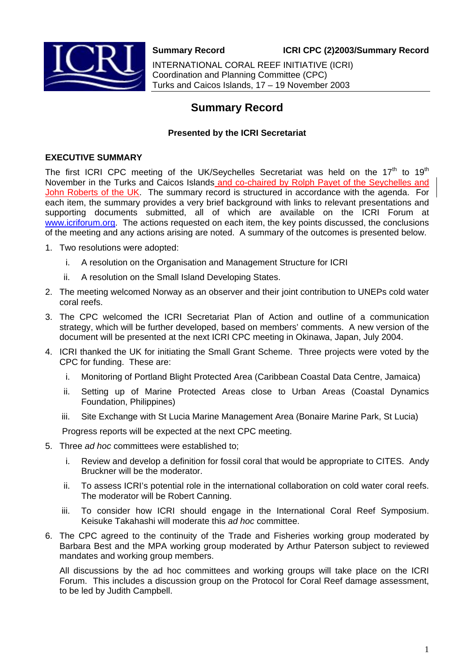

**Summary Record ICRI CPC (2)2003/Summary Record** 

INTERNATIONAL CORAL REEF INITIATIVE (ICRI) Coordination and Planning Committee (CPC) Turks and Caicos Islands, 17 – 19 November 2003

# **Summary Record**

## **Presented by the ICRI Secretariat**

## **EXECUTIVE SUMMARY**

The first ICRI CPC meeting of the UK/Seychelles Secretariat was held on the  $17<sup>th</sup>$  to  $19<sup>th</sup>$ November in the Turks and Caicos Islands and co-chaired by Rolph Payet of the Seychelles and John Roberts of the UK. The summary record is structured in accordance with the agenda. For each item, the summary provides a very brief background with links to relevant presentations and supporting documents submitted, all of which are available on the ICRI Forum at [www.icriforum.org.](http://www.icriforum.org/) The actions requested on each item, the key points discussed, the conclusions of the meeting and any actions arising are noted. A summary of the outcomes is presented below.

- 1. Two resolutions were adopted:
	- i. A resolution on the Organisation and Management Structure for ICRI
	- ii. A resolution on the Small Island Developing States.
- 2. The meeting welcomed Norway as an observer and their joint contribution to UNEPs cold water coral reefs.
- 3. The CPC welcomed the ICRI Secretariat Plan of Action and outline of a communication strategy, which will be further developed, based on members' comments. A new version of the document will be presented at the next ICRI CPC meeting in Okinawa, Japan, July 2004.
- 4. ICRI thanked the UK for initiating the Small Grant Scheme. Three projects were voted by the CPC for funding. These are:
	- i. Monitoring of Portland Blight Protected Area (Caribbean Coastal Data Centre, Jamaica)
	- ii. Setting up of Marine Protected Areas close to Urban Areas (Coastal Dynamics Foundation, Philippines)
	- iii. Site Exchange with St Lucia Marine Management Area (Bonaire Marine Park, St Lucia)

Progress reports will be expected at the next CPC meeting.

- 5. Three *ad hoc* committees were established to;
	- i. Review and develop a definition for fossil coral that would be appropriate to CITES. Andy Bruckner will be the moderator.
	- ii. To assess ICRI's potential role in the international collaboration on cold water coral reefs. The moderator will be Robert Canning.
	- iii. To consider how ICRI should engage in the International Coral Reef Symposium. Keisuke Takahashi will moderate this *ad hoc* committee.
- 6. The CPC agreed to the continuity of the Trade and Fisheries working group moderated by Barbara Best and the MPA working group moderated by Arthur Paterson subject to reviewed mandates and working group members.

All discussions by the ad hoc committees and working groups will take place on the ICRI Forum. This includes a discussion group on the Protocol for Coral Reef damage assessment, to be led by Judith Campbell.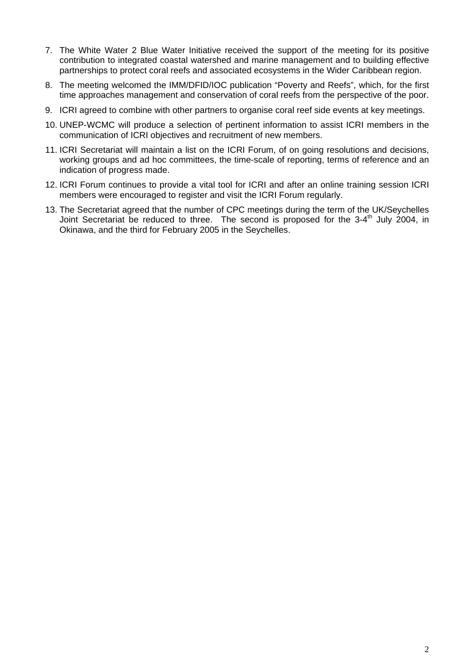- 7. The White Water 2 Blue Water Initiative received the support of the meeting for its positive contribution to integrated coastal watershed and marine management and to building effective partnerships to protect coral reefs and associated ecosystems in the Wider Caribbean region.
- 8. The meeting welcomed the IMM/DFID/IOC publication "Poverty and Reefs", which, for the first time approaches management and conservation of coral reefs from the perspective of the poor.
- 9. ICRI agreed to combine with other partners to organise coral reef side events at key meetings.
- 10. UNEP-WCMC will produce a selection of pertinent information to assist ICRI members in the communication of ICRI objectives and recruitment of new members.
- 11. ICRI Secretariat will maintain a list on the ICRI Forum, of on going resolutions and decisions, working groups and ad hoc committees, the time-scale of reporting, terms of reference and an indication of progress made.
- 12. ICRI Forum continues to provide a vital tool for ICRI and after an online training session ICRI members were encouraged to register and visit the ICRI Forum regularly.
- 13. The Secretariat agreed that the number of CPC meetings during the term of the UK/Seychelles Joint Secretariat be reduced to three. The second is proposed for the  $3-4<sup>th</sup>$  July 2004, in Okinawa, and the third for February 2005 in the Seychelles.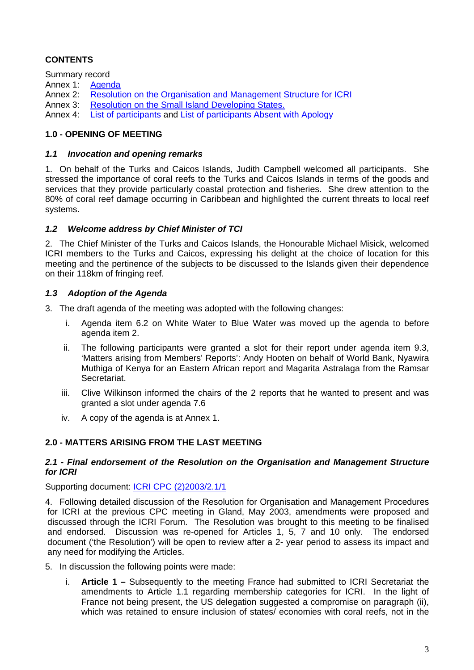# **CONTENTS**

Summary record

Annex 1: [Agenda](http://www.icriforum.org/secretariat/doc/revised_agenda_1103.pdf)

Annex 2: [Resolution on the Organisation and Management Structure for ICRI](http://www.icriforum.org/secretariat/doc/cpc1103/Resolution_Organization_final.pdf)

Annex 3: [Resolution on the Small Island Developing States.](http://www.icriforum.org/secretariat/doc/cpc1103/Resolution_SIDS_final.doc)

Annex 4: [List of participants](#page-28-0) and [List of participants Absent with Apology](#page-30-0)

## **1.0 - OPENING OF MEETING**

## *1.1 Invocation and opening remarks*

1. On behalf of the Turks and Caicos Islands, Judith Campbell welcomed all participants. She stressed the importance of coral reefs to the Turks and Caicos Islands in terms of the goods and services that they provide particularly coastal protection and fisheries. She drew attention to the 80% of coral reef damage occurring in Caribbean and highlighted the current threats to local reef systems.

## *1.2 Welcome address by Chief Minister of TCI*

2. The Chief Minister of the Turks and Caicos Islands, the Honourable Michael Misick, welcomed ICRI members to the Turks and Caicos, expressing his delight at the choice of location for this meeting and the pertinence of the subjects to be discussed to the Islands given their dependence on their 118km of fringing reef.

## *1.3 Adoption of the Agenda*

3. The draft agenda of the meeting was adopted with the following changes:

- i. Agenda item 6.2 on White Water to Blue Water was moved up the agenda to before agenda item 2.
- ii. The following participants were granted a slot for their report under agenda item 9.3, 'Matters arising from Members' Reports': Andy Hooten on behalf of World Bank, Nyawira Muthiga of Kenya for an Eastern African report and Magarita Astralaga from the Ramsar Secretariat.
- iii. Clive Wilkinson informed the chairs of the 2 reports that he wanted to present and was granted a slot under agenda 7.6
- iv. A copy of the agenda is at Annex 1.

## **2.0 - MATTERS ARISING FROM THE LAST MEETING**

## *2.1 - Final endorsement of the Resolution on the Organisation and Management Structure for ICRI*

Supporting document: [ICRI CPC \(2\)2003/2.1/1](http://www.icriforum.org/secretariat/doc/cpc1103/Resolution_Organization_final.pdf)

4. Following detailed discussion of the Resolution for Organisation and Management Procedures for ICRI at the previous CPC meeting in Gland, May 2003, amendments were proposed and discussed through the ICRI Forum. The Resolution was brought to this meeting to be finalised and endorsed. Discussion was re-opened for Articles 1, 5, 7 and 10 only. The endorsed document ('the Resolution') will be open to review after a 2- year period to assess its impact and any need for modifying the Articles.

5. In discussion the following points were made:

i. **Article 1 –** Subsequently to the meeting France had submitted to ICRI Secretariat the amendments to Article 1.1 regarding membership categories for ICRI. In the light of France not being present, the US delegation suggested a compromise on paragraph (ii), which was retained to ensure inclusion of states/ economies with coral reefs, not in the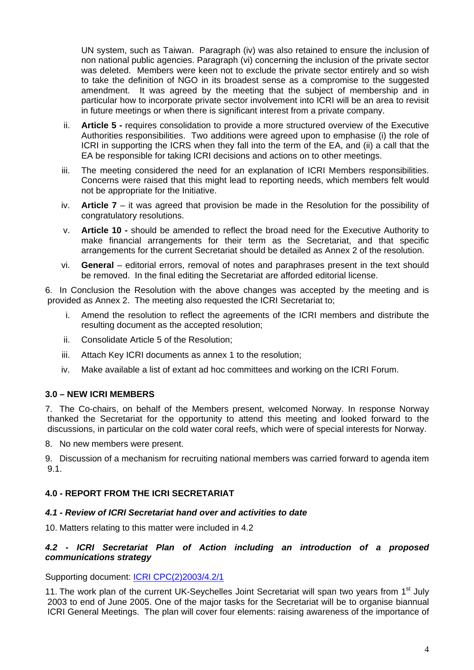UN system, such as Taiwan. Paragraph (iv) was also retained to ensure the inclusion of non national public agencies. Paragraph (vi) concerning the inclusion of the private sector was deleted. Members were keen not to exclude the private sector entirely and so wish to take the definition of NGO in its broadest sense as a compromise to the suggested amendment. It was agreed by the meeting that the subject of membership and in particular how to incorporate private sector involvement into ICRI will be an area to revisit in future meetings or when there is significant interest from a private company.

- ii. **Article 5** requires consolidation to provide a more structured overview of the Executive Authorities responsibilities. Two additions were agreed upon to emphasise (i) the role of ICRI in supporting the ICRS when they fall into the term of the EA, and (ii) a call that the EA be responsible for taking ICRI decisions and actions on to other meetings.
- iii. The meeting considered the need for an explanation of ICRI Members responsibilities. Concerns were raised that this might lead to reporting needs, which members felt would not be appropriate for the Initiative.
- iv. **Article 7** it was agreed that provision be made in the Resolution for the possibility of congratulatory resolutions.
- v. **Article 10** should be amended to reflect the broad need for the Executive Authority to make financial arrangements for their term as the Secretariat, and that specific arrangements for the current Secretariat should be detailed as Annex 2 of the resolution.
- vi. **General** editorial errors, removal of notes and paraphrases present in the text should be removed. In the final editing the Secretariat are afforded editorial license.

6. In Conclusion the Resolution with the above changes was accepted by the meeting and is provided as Annex 2. The meeting also requested the ICRI Secretariat to;

- Amend the resolution to reflect the agreements of the ICRI members and distribute the resulting document as the accepted resolution;
- ii. Consolidate Article 5 of the Resolution;
- iii. Attach Key ICRI documents as annex 1 to the resolution;
- iv. Make available a list of extant ad hoc committees and working on the ICRI Forum.

### **3.0 – NEW ICRI MEMBERS**

7. The Co-chairs, on behalf of the Members present, welcomed Norway. In response Norway thanked the Secretariat for the opportunity to attend this meeting and looked forward to the discussions, in particular on the cold water coral reefs, which were of special interests for Norway.

8. No new members were present.

9. Discussion of a mechanism for recruiting national members was carried forward to agenda item 9.1.

## **4.0 - REPORT FROM THE ICRI SECRETARIAT**

### *4.1 - Review of ICRI Secretariat hand over and activities to date*

10. Matters relating to this matter were included in 4.2

### *4.2 - ICRI Secretariat Plan of Action including an introduction of a proposed communications strategy*

Supporting document: [ICRI CPC\(2\)2003/4.2/1](http://www.icriforum.org/secretariat/sec_UK.html)

11. The work plan of the current UK-Seychelles Joint Secretariat will span two years from 1<sup>st</sup> July 2003 to end of June 2005. One of the major tasks for the Secretariat will be to organise biannual ICRI General Meetings. The plan will cover four elements: raising awareness of the importance of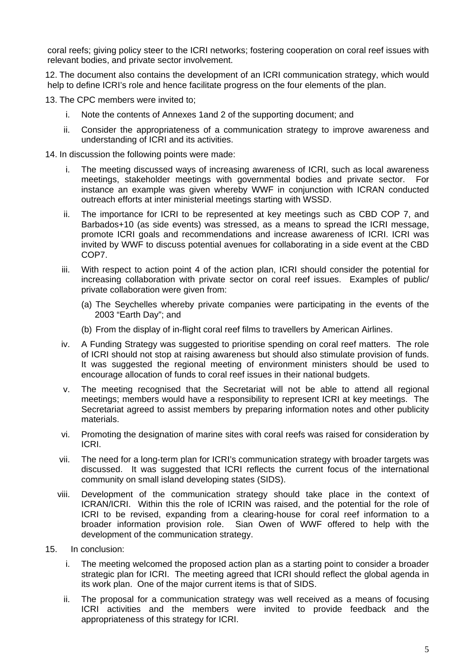coral reefs; giving policy steer to the ICRI networks; fostering cooperation on coral reef issues with relevant bodies, and private sector involvement.

12. The document also contains the development of an ICRI communication strategy, which would help to define ICRI's role and hence facilitate progress on the four elements of the plan.

13. The CPC members were invited to;

- i. Note the contents of Annexes 1and 2 of the supporting document; and
- ii. Consider the appropriateness of a communication strategy to improve awareness and understanding of ICRI and its activities.

14. In discussion the following points were made:

- i. The meeting discussed ways of increasing awareness of ICRI, such as local awareness meetings, stakeholder meetings with governmental bodies and private sector. For instance an example was given whereby WWF in conjunction with ICRAN conducted outreach efforts at inter ministerial meetings starting with WSSD.
- ii. The importance for ICRI to be represented at key meetings such as CBD COP 7, and Barbados+10 (as side events) was stressed, as a means to spread the ICRI message, promote ICRI goals and recommendations and increase awareness of ICRI. ICRI was invited by WWF to discuss potential avenues for collaborating in a side event at the CBD COP7.
- iii. With respect to action point 4 of the action plan, ICRI should consider the potential for increasing collaboration with private sector on coral reef issues. Examples of public/ private collaboration were given from:
	- (a) The Seychelles whereby private companies were participating in the events of the 2003 "Earth Day"; and
	- (b) From the display of in-flight coral reef films to travellers by American Airlines.
- iv. A Funding Strategy was suggested to prioritise spending on coral reef matters. The role of ICRI should not stop at raising awareness but should also stimulate provision of funds. It was suggested the regional meeting of environment ministers should be used to encourage allocation of funds to coral reef issues in their national budgets.
- v. The meeting recognised that the Secretariat will not be able to attend all regional meetings; members would have a responsibility to represent ICRI at key meetings. The Secretariat agreed to assist members by preparing information notes and other publicity materials.
- vi. Promoting the designation of marine sites with coral reefs was raised for consideration by ICRI.
- vii. The need for a long-term plan for ICRI's communication strategy with broader targets was discussed. It was suggested that ICRI reflects the current focus of the international community on small island developing states (SIDS).
- viii. Development of the communication strategy should take place in the context of ICRAN/ICRI. Within this the role of ICRIN was raised, and the potential for the role of ICRI to be revised, expanding from a clearing-house for coral reef information to a broader information provision role. Sian Owen of WWF offered to help with the development of the communication strategy.
- 15. In conclusion:
	- i. The meeting welcomed the proposed action plan as a starting point to consider a broader strategic plan for ICRI. The meeting agreed that ICRI should reflect the global agenda in its work plan. One of the major current items is that of SIDS.
	- ii. The proposal for a communication strategy was well received as a means of focusing ICRI activities and the members were invited to provide feedback and the appropriateness of this strategy for ICRI.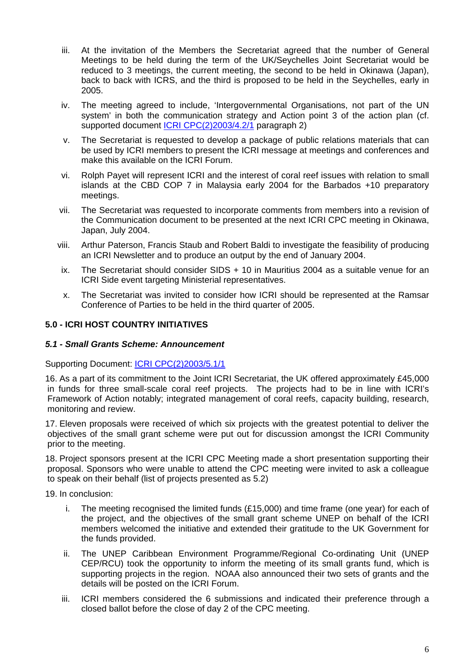- iii. At the invitation of the Members the Secretariat agreed that the number of General Meetings to be held during the term of the UK/Seychelles Joint Secretariat would be reduced to 3 meetings, the current meeting, the second to be held in Okinawa (Japan), back to back with ICRS, and the third is proposed to be held in the Seychelles, early in 2005.
- iv. The meeting agreed to include, 'Intergovernmental Organisations, not part of the UN system' in both the communication strategy and Action point 3 of the action plan (cf. supported document [ICRI CPC\(2\)2003/4.2/1](http://www.icriforum.org/secretariat/sec_UK.html) paragraph 2)
- v. The Secretariat is requested to develop a package of public relations materials that can be used by ICRI members to present the ICRI message at meetings and conferences and make this available on the ICRI Forum.
- vi. Rolph Payet will represent ICRI and the interest of coral reef issues with relation to small islands at the CBD COP 7 in Malaysia early 2004 for the Barbados +10 preparatory meetings.
- vii. The Secretariat was requested to incorporate comments from members into a revision of the Communication document to be presented at the next ICRI CPC meeting in Okinawa, Japan, July 2004.
- viii. Arthur Paterson, Francis Staub and Robert Baldi to investigate the feasibility of producing an ICRI Newsletter and to produce an output by the end of January 2004.
- ix. The Secretariat should consider SIDS + 10 in Mauritius 2004 as a suitable venue for an ICRI Side event targeting Ministerial representatives.
- x. The Secretariat was invited to consider how ICRI should be represented at the Ramsar Conference of Parties to be held in the third quarter of 2005.

## **5.0 - ICRI HOST COUNTRY INITIATIVES**

### *5.1 - Small Grants Scheme: Announcement*

Supporting Document: [ICRI CPC\(2\)2003/5.1/1](http://www.icriforum.org/secretariat/ICRI_Small_grant.html)

16. As a part of its commitment to the Joint ICRI Secretariat, the UK offered approximately £45,000 in funds for three small-scale coral reef projects. The projects had to be in line with ICRI's Framework of Action notably; integrated management of coral reefs, capacity building, research, monitoring and review.

17. Eleven proposals were received of which six projects with the greatest potential to deliver the objectives of the small grant scheme were put out for discussion amongst the ICRI Community prior to the meeting.

18. Project sponsors present at the ICRI CPC Meeting made a short presentation supporting their proposal. Sponsors who were unable to attend the CPC meeting were invited to ask a colleague to speak on their behalf (list of projects presented as 5.2)

19. In conclusion:

- i. The meeting recognised the limited funds (£15,000) and time frame (one year) for each of the project, and the objectives of the small grant scheme UNEP on behalf of the ICRI members welcomed the initiative and extended their gratitude to the UK Government for the funds provided.
- ii. The UNEP Caribbean Environment Programme/Regional Co-ordinating Unit (UNEP CEP/RCU) took the opportunity to inform the meeting of its small grants fund, which is supporting projects in the region. NOAA also announced their two sets of grants and the details will be posted on the ICRI Forum.
- iii. ICRI members considered the 6 submissions and indicated their preference through a closed ballot before the close of day 2 of the CPC meeting.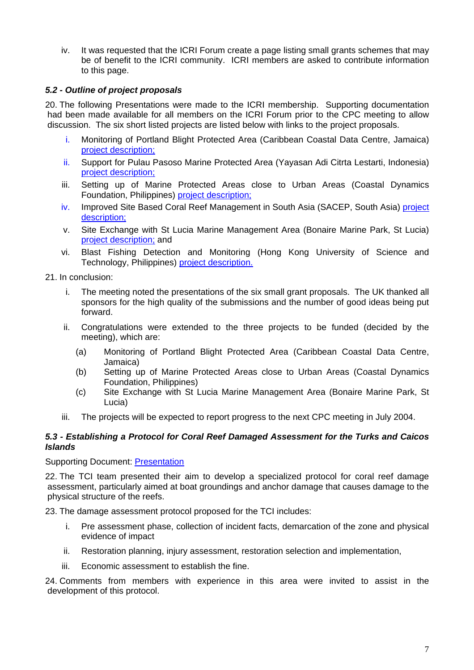iv. It was requested that the ICRI Forum create a page listing small grants schemes that may be of benefit to the ICRI community. ICRI members are asked to contribute information to this page.

## *5.2 - Outline of project proposals*

20. The following Presentations were made to the ICRI membership. Supporting documentation had been made available for all members on the ICRI Forum prior to the CPC meeting to allow discussion. The six short listed projects are listed below with links to the project proposals.

- i. Monitoring of Portland Blight Protected Area (Caribbean Coastal Data Centre, Jamaica) [project description;](http://www.icriforum.org/secretariat/doc/grant/Jamaica.pdf)
- ii. Support for Pulau Pasoso Marine Protected Area (Yayasan Adi Citrta Lestarti, Indonesia) [project description;](http://www.icriforum.org/secretariat/doc/grant/Jamaica.pdf)
- iii. Setting up of Marine Protected Areas close to Urban Areas (Coastal Dynamics Foundation, Philippines) [project description;](http://www.icriforum.org/secretariat/doc/grant/Pulau_Pasoso.pdf)
- iv. Improved Site Based Coral Reef Management in South Asia (SACEP, South Asia) [project](http://www.icriforum.org/secretariat/doc/grant/South_Asia.pdf)  [description;](http://www.icriforum.org/secretariat/doc/grant/South_Asia.pdf)
- v. Site Exchange with St Lucia Marine Management Area (Bonaire Marine Park, St Lucia) [project description;](http://www.icriforum.org/secretariat/doc/grant/South_Asia.pdf) [and](http://www.icriforum.org/secretariat/doc/grant/St_Lucia.pdf)
- vi. Blast Fishing Detection and Monitoring (Hong Kong University of Science and Technology, Philippines) [project description.](http://www.icriforum.org/secretariat/doc/grant/Blast.pdf)

21. In conclusion:

- i. The meeting noted the presentations of the six small grant proposals. The UK thanked all sponsors for the high quality of the submissions and the number of good ideas being put forward.
- ii. Congratulations were extended to the three projects to be funded (decided by the meeting), which are:
	- (a) Monitoring of Portland Blight Protected Area (Caribbean Coastal Data Centre, Jamaica)
	- (b) Setting up of Marine Protected Areas close to Urban Areas (Coastal Dynamics Foundation, Philippines)
	- (c) Site Exchange with St Lucia Marine Management Area (Bonaire Marine Park, St Lucia)
- iii. The projects will be expected to report progress to the next CPC meeting in July 2004.

#### *5.3 - Establishing a Protocol for Coral Reef Damaged Assessment for the Turks and Caicos Islands*

Supporting Document: [Presentation](http://www.icriforum.org/secretariat/doc/cpc1103/Damag_ Assessment_Protocol.pdf)

22. The TCI team presented their aim to develop a specialized protocol for coral reef damage assessment, particularly aimed at boat groundings and anchor damage that causes damage to the physical structure of the reefs.

23. The damage assessment protocol proposed for the TCI includes:

- i. Pre assessment phase, collection of incident facts, demarcation of the zone and physical evidence of impact
- ii. Restoration planning, injury assessment, restoration selection and implementation,
- iii. Economic assessment to establish the fine.

24. Comments from members with experience in this area were invited to assist in the development of this protocol.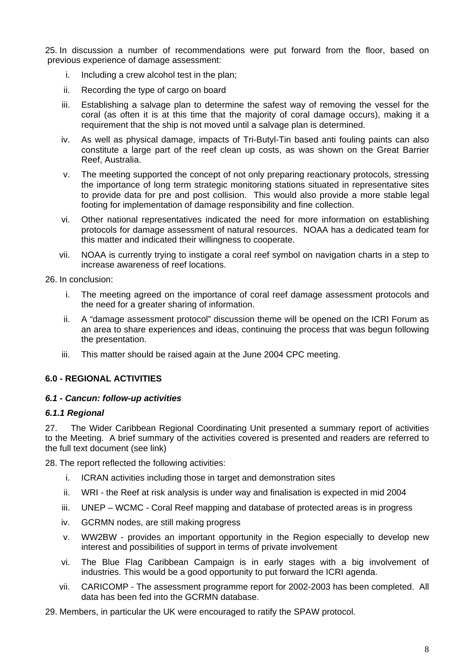25. In discussion a number of recommendations were put forward from the floor, based on previous experience of damage assessment:

- i. Including a crew alcohol test in the plan;
- ii. Recording the type of cargo on board
- iii. Establishing a salvage plan to determine the safest way of removing the vessel for the coral (as often it is at this time that the majority of coral damage occurs), making it a requirement that the ship is not moved until a salvage plan is determined.
- iv. As well as physical damage, impacts of Tri-Butyl-Tin based anti fouling paints can also constitute a large part of the reef clean up costs, as was shown on the Great Barrier Reef, Australia.
- v. The meeting supported the concept of not only preparing reactionary protocols, stressing the importance of long term strategic monitoring stations situated in representative sites to provide data for pre and post collision. This would also provide a more stable legal footing for implementation of damage responsibility and fine collection.
- vi. Other national representatives indicated the need for more information on establishing protocols for damage assessment of natural resources. NOAA has a dedicated team for this matter and indicated their willingness to cooperate.
- vii. NOAA is currently trying to instigate a coral reef symbol on navigation charts in a step to increase awareness of reef locations.

26. In conclusion:

- i. The meeting agreed on the importance of coral reef damage assessment protocols and the need for a greater sharing of information.
- ii. A "damage assessment protocol" discussion theme will be opened on the ICRI Forum as an area to share experiences and ideas, continuing the process that was begun following the presentation.
- iii. This matter should be raised again at the June 2004 CPC meeting.

### **6.0 - REGIONAL ACTIVITIES**

### *6.1 - Cancun: follow-up activities*

#### *6.1.1 Regional*

27. The Wider Caribbean Regional Coordinating Unit presented a summary report of activities to the Meeting. A brief summary of the activities covered is presented and readers are referred to the full text document (see link)

28. The report reflected the following activities:

- i. ICRAN activities including those in target and demonstration sites
- ii. WRI the Reef at risk analysis is under way and finalisation is expected in mid 2004
- iii. UNEP WCMC Coral Reef mapping and database of protected areas is in progress
- iv. GCRMN nodes, are still making progress
- v. WW2BW provides an important opportunity in the Region especially to develop new interest and possibilities of support in terms of private involvement
- vi. The Blue Flag Caribbean Campaign is in early stages with a big involvement of industries. This would be a good opportunity to put forward the ICRI agenda.
- vii. CARICOMP The assessment programme report for 2002-2003 has been completed. All data has been fed into the GCRMN database.
- 29. Members, in particular the UK were encouraged to ratify the SPAW protocol.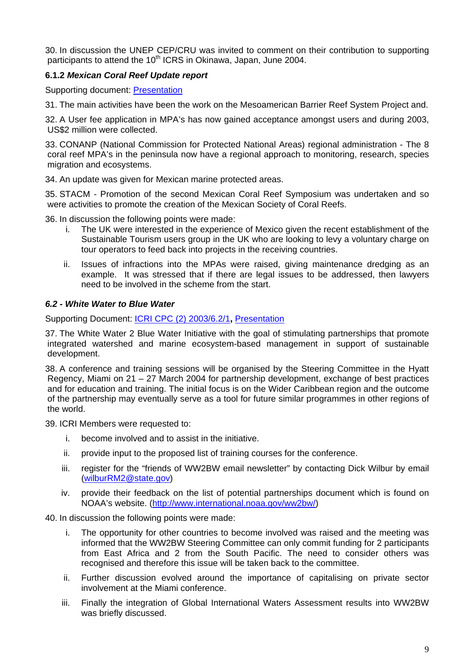30. In discussion the UNEP CEP/CRU was invited to comment on their contribution to supporting participants to attend the 10<sup>th</sup> ICRS in Okinawa, Japan, June 2004.

## **6.1.2** *Mexican Coral Reef Update report*

Supporting document: [Presentation](http://www.icriforum.org/secretariat/doc/cpc1103/61_Cancun_Mexico_Report.pdf)

31. The main activities have been the work on the Mesoamerican Barrier Reef System Project and.

32. A User fee application in MPA's has now gained acceptance amongst users and during 2003, US\$2 million were collected.

33. CONANP (National Commission for Protected National Areas) regional administration - The 8 coral reef MPA's in the peninsula now have a regional approach to monitoring, research, species migration and ecosystems.

34. An update was given for Mexican marine protected areas.

35. STACM - Promotion of the second Mexican Coral Reef Symposium was undertaken and so were activities to promote the creation of the Mexican Society of Coral Reefs.

36. In discussion the following points were made:

- i. The UK were interested in the experience of Mexico given the recent establishment of the Sustainable Tourism users group in the UK who are looking to levy a voluntary charge on tour operators to feed back into projects in the receiving countries.
- ii. Issues of infractions into the MPAs were raised, giving maintenance dredging as an example. It was stressed that if there are legal issues to be addressed, then lawyers need to be involved in the scheme from the start.

### *6.2 - White Water to Blue Water*

Supporting Document: [ICRI CPC \(2\) 2003/6.2/1](http://www.icriforum.org/secretariat/doc/WW2BW_62_1.pdf)**,** [Presentation](http://www.icriforum.org/secretariat/doc/cpc1103/WWBW.pdf)

37. The White Water 2 Blue Water Initiative with the goal of stimulating partnerships that promote integrated watershed and marine ecosystem-based management in support of sustainable development.

38. A conference and training sessions will be organised by the Steering Committee in the Hyatt Regency, Miami on 21 – 27 March 2004 for partnership development, exchange of best practices and for education and training. The initial focus is on the Wider Caribbean region and the outcome of the partnership may eventually serve as a tool for future similar programmes in other regions of the world.

39. ICRI Members were requested to:

- i. become involved and to assist in the initiative.
- ii. provide input to the proposed list of training courses for the conference.
- iii. register for the "friends of WW2BW email newsletter" by contacting Dick Wilbur by email ([wilburRM2@state.gov](mailto:wilburRM2@state.gov))
- iv. provide their feedback on the list of potential partnerships document which is found on NOAA's website. [\(http://www.international.noaa.gov/ww2bw/](http://www.international.noaa.gov/ww2bw/))

#### 40. In discussion the following points were made:

- i. The opportunity for other countries to become involved was raised and the meeting was informed that the WW2BW Steering Committee can only commit funding for 2 participants from East Africa and 2 from the South Pacific. The need to consider others was recognised and therefore this issue will be taken back to the committee.
- ii. Further discussion evolved around the importance of capitalising on private sector involvement at the Miami conference.
- iii. Finally the integration of Global International Waters Assessment results into WW2BW was briefly discussed.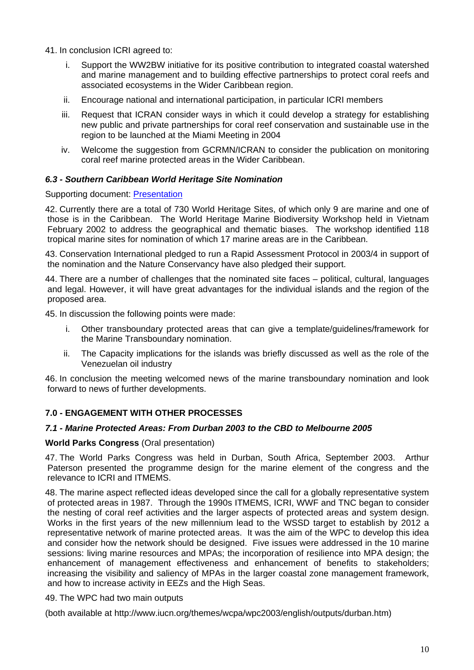41. In conclusion ICRI agreed to:

- Support the WW2BW initiative for its positive contribution to integrated coastal watershed and marine management and to building effective partnerships to protect coral reefs and associated ecosystems in the Wider Caribbean region.
- ii. Encourage national and international participation, in particular ICRI members
- iii. Request that ICRAN consider ways in which it could develop a strategy for establishing new public and private partnerships for coral reef conservation and sustainable use in the region to be launched at the Miami Meeting in 2004
- iv. Welcome the suggestion from GCRMN/ICRAN to consider the publication on monitoring coral reef marine protected areas in the Wider Caribbean.

## *6.3 - Southern Caribbean World Heritage Site Nomination*

### Supporting document: [Presentation](http://www.icriforum.org/secretariat/doc/cpc1103/63_WHS_NOMINATION.pdf)

42. Currently there are a total of 730 World Heritage Sites, of which only 9 are marine and one of those is in the Caribbean. The World Heritage Marine Biodiversity Workshop held in Vietnam February 2002 to address the geographical and thematic biases. The workshop identified 118 tropical marine sites for nomination of which 17 marine areas are in the Caribbean.

43. Conservation International pledged to run a Rapid Assessment Protocol in 2003/4 in support of the nomination and the Nature Conservancy have also pledged their support.

44. There are a number of challenges that the nominated site faces – political, cultural, languages and legal. However, it will have great advantages for the individual islands and the region of the proposed area.

45. In discussion the following points were made:

- i. Other transboundary protected areas that can give a template/guidelines/framework for the Marine Transboundary nomination.
- ii. The Capacity implications for the islands was briefly discussed as well as the role of the Venezuelan oil industry

46. In conclusion the meeting welcomed news of the marine transboundary nomination and look forward to news of further developments.

## **7.0 - ENGAGEMENT WITH OTHER PROCESSES**

### *7.1 - Marine Protected Areas: From Durban 2003 to the CBD to Melbourne 2005*

### **World Parks Congress** (Oral presentation)

47. The World Parks Congress was held in Durban, South Africa, September 2003. Arthur Paterson presented the programme design for the marine element of the congress and the relevance to ICRI and ITMEMS.

48. The marine aspect reflected ideas developed since the call for a globally representative system of protected areas in 1987. Through the 1990s ITMEMS, ICRI, WWF and TNC began to consider the nesting of coral reef activities and the larger aspects of protected areas and system design. Works in the first years of the new millennium lead to the WSSD target to establish by 2012 a representative network of marine protected areas. It was the aim of the WPC to develop this idea and consider how the network should be designed. Five issues were addressed in the 10 marine sessions: living marine resources and MPAs; the incorporation of resilience into MPA design; the enhancement of management effectiveness and enhancement of benefits to stakeholders; increasing the visibility and saliency of MPAs in the larger coastal zone management framework, and how to increase activity in EEZs and the High Seas.

### 49. The WPC had two main outputs

(both available at http://www.iucn.org/themes/wcpa/wpc2003/english/outputs/durban.htm)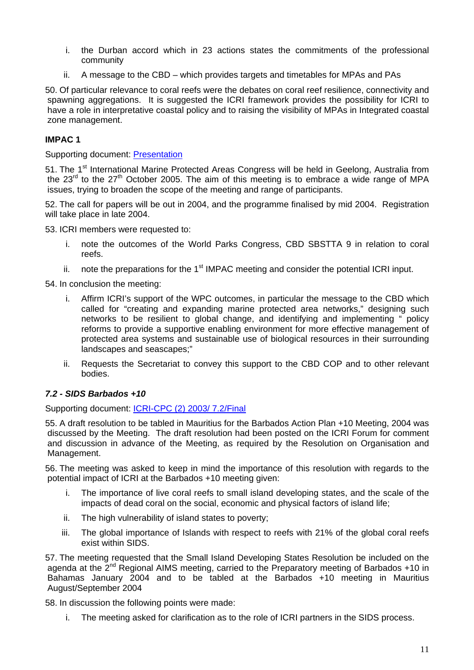- i. the Durban accord which in 23 actions states the commitments of the professional community
- ii. A message to the CBD which provides targets and timetables for MPAs and PAs

50. Of particular relevance to coral reefs were the debates on coral reef resilience, connectivity and spawning aggregations. It is suggested the ICRI framework provides the possibility for ICRI to have a role in interpretative coastal policy and to raising the visibility of MPAs in Integrated coastal zone management.

## **IMPAC 1**

Supporting document: [Presentation](http://www.icriforum.org/secretariat/doc/cpc1103/IMPAC1.ppt)

51. The 1<sup>st</sup> International Marine Protected Areas Congress will be held in Geelong, Australia from the  $23<sup>rd</sup>$  to the  $27<sup>th</sup>$  October 2005. The aim of this meeting is to embrace a wide range of MPA issues, trying to broaden the scope of the meeting and range of participants.

52. The call for papers will be out in 2004, and the programme finalised by mid 2004. Registration will take place in late 2004.

53. ICRI members were requested to:

- i. note the outcomes of the World Parks Congress, CBD SBSTTA 9 in relation to coral reefs.
- ii. note the preparations for the  $1<sup>st</sup>$  IMPAC meeting and consider the potential ICRI input.

54. In conclusion the meeting:

- i. Affirm ICRI's support of the WPC outcomes, in particular the message to the CBD which called for "creating and expanding marine protected area networks," designing such networks to be resilient to global change, and identifying and implementing " policy reforms to provide a supportive enabling environment for more effective management of protected area systems and sustainable use of biological resources in their surrounding landscapes and seascapes;"
- ii. Requests the Secretariat to convey this support to the CBD COP and to other relevant bodies.

## *7.2 - SIDS Barbados +10*

Supporting document: [ICRI-CPC \(2\) 2003/ 7.2/Final](http://www.icriforum.org/secretariat/doc/cpc1103/Resolution_SIDS_final.doc)

55. A draft resolution to be tabled in Mauritius for the Barbados Action Plan +10 Meeting, 2004 was discussed by the Meeting. The draft resolution had been posted on the ICRI Forum for comment and discussion in advance of the Meeting, as required by the Resolution on Organisation and Management.

56. The meeting was asked to keep in mind the importance of this resolution with regards to the potential impact of ICRI at the Barbados +10 meeting given:

- i. The importance of live coral reefs to small island developing states, and the scale of the impacts of dead coral on the social, economic and physical factors of island life;
- ii. The high vulnerability of island states to poverty;
- iii. The global importance of Islands with respect to reefs with 21% of the global coral reefs exist within SIDS.

57. The meeting requested that the Small Island Developing States Resolution be included on the agenda at the  $2^{nd}$  Regional AIMS meeting, carried to the Preparatory meeting of Barbados +10 in Bahamas January 2004 and to be tabled at the Barbados +10 meeting in Mauritius August/September 2004

58. In discussion the following points were made:

i. The meeting asked for clarification as to the role of ICRI partners in the SIDS process.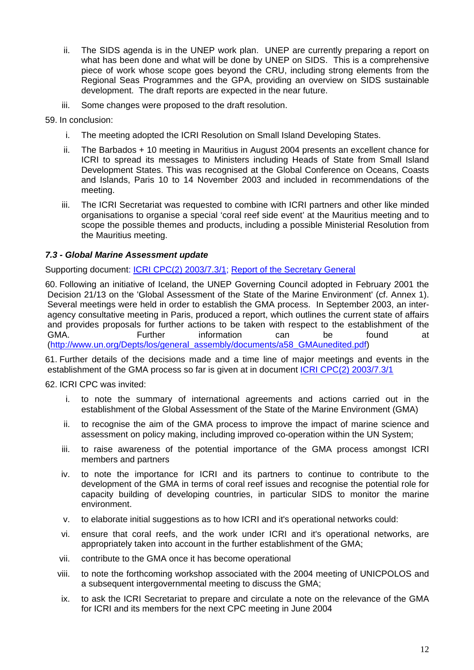- ii. The SIDS agenda is in the UNEP work plan. UNEP are currently preparing a report on what has been done and what will be done by UNEP on SIDS. This is a comprehensive piece of work whose scope goes beyond the CRU, including strong elements from the Regional Seas Programmes and the GPA, providing an overview on SIDS sustainable development. The draft reports are expected in the near future.
- iii. Some changes were proposed to the draft resolution.
- 59. In conclusion:
	- i. The meeting adopted the ICRI Resolution on Small Island Developing States.
	- ii. The Barbados + 10 meeting in Mauritius in August 2004 presents an excellent chance for ICRI to spread its messages to Ministers including Heads of State from Small Island Development States. This was recognised at the Global Conference on Oceans, Coasts and Islands, Paris 10 to 14 November 2003 and included in recommendations of the meeting.
	- iii. The ICRI Secretariat was requested to combine with ICRI partners and other like minded organisations to organise a special 'coral reef side event' at the Mauritius meeting and to scope the possible themes and products, including a possible Ministerial Resolution from the Mauritius meeting.

## *7.3 - Global Marine Assessment update*

Supporting document: [ICRI CPC\(2\) 2003/7.3/1](http://www.icriforum.org/secretariat/doc/CPC_GMA731.pdf); [Report of the Secretary General](http://www.icriforum.org/secretariat/doc/CPC_GMA_UNDOALOS_73inf1.pdf)

60. Following an initiative of Iceland, the UNEP Governing Council adopted in February 2001 the Decision 21/13 on the 'Global Assessment of the State of the Marine Environment' (cf. Annex 1). Several meetings were held in order to establish the GMA process. In September 2003, an interagency consultative meeting in Paris, produced a report, which outlines the current state of affairs and provides proposals for further actions to be taken with respect to the establishment of the GMA. Further information can be found at [\(http://www.un.org/Depts/los/general\\_assembly/documents/a58\\_GMAunedited.pdf](http://www.un.org/Depts/los/general_assembly/documents/a58_GMAunedited.pdf))

61. Further details of the decisions made and a time line of major meetings and events in the establishment of the GMA process so far is given at in document *ICRI CPC(2)* 2003/7.3/1

62. ICRI CPC was invited:

- i. to note the summary of international agreements and actions carried out in the establishment of the Global Assessment of the State of the Marine Environment (GMA)
- ii. to recognise the aim of the GMA process to improve the impact of marine science and assessment on policy making, including improved co-operation within the UN System;
- iii. to raise awareness of the potential importance of the GMA process amongst ICRI members and partners
- iv. to note the importance for ICRI and its partners to continue to contribute to the development of the GMA in terms of coral reef issues and recognise the potential role for capacity building of developing countries, in particular SIDS to monitor the marine environment.
- v. to elaborate initial suggestions as to how ICRI and it's operational networks could:
- vi. ensure that coral reefs, and the work under ICRI and it's operational networks, are appropriately taken into account in the further establishment of the GMA;
- vii. contribute to the GMA once it has become operational
- viii. to note the forthcoming workshop associated with the 2004 meeting of UNICPOLOS and a subsequent intergovernmental meeting to discuss the GMA;
- ix. to ask the ICRI Secretariat to prepare and circulate a note on the relevance of the GMA for ICRI and its members for the next CPC meeting in June 2004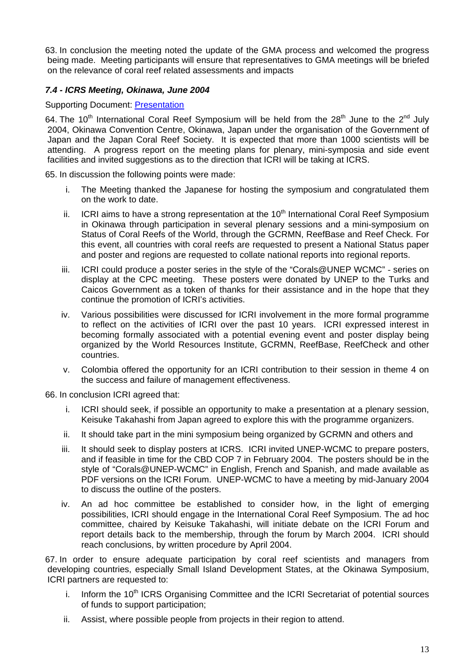63. In conclusion the meeting noted the update of the GMA process and welcomed the progress being made. Meeting participants will ensure that representatives to GMA meetings will be briefed on the relevance of coral reef related assessments and impacts

## *7.4 - ICRS Meeting, Okinawa, June 2004*

## Supporting Document: [Presentation](http://www.icriforum.org/secretariat/doc/cpc1103/ICRSymposium.pdf)

64. The 10<sup>th</sup> International Coral Reef Symposium will be held from the 28<sup>th</sup> June to the 2<sup>nd</sup> July 2004, Okinawa Convention Centre, Okinawa, Japan under the organisation of the Government of Japan and the Japan Coral Reef Society. It is expected that more than 1000 scientists will be attending. A progress report on the meeting plans for plenary, mini-symposia and side event facilities and invited suggestions as to the direction that ICRI will be taking at ICRS.

65. In discussion the following points were made:

- i. The Meeting thanked the Japanese for hosting the symposium and congratulated them on the work to date.
- ii. ICRI aims to have a strong representation at the  $10<sup>th</sup>$  International Coral Reef Symposium in Okinawa through participation in several plenary sessions and a mini-symposium on Status of Coral Reefs of the World, through the GCRMN, ReefBase and Reef Check. For this event, all countries with coral reefs are requested to present a National Status paper and poster and regions are requested to collate national reports into regional reports.
- iii. ICRI could produce a poster series in the style of the "Corals@UNEP WCMC" series on display at the CPC meeting. These posters were donated by UNEP to the Turks and Caicos Government as a token of thanks for their assistance and in the hope that they continue the promotion of ICRI's activities.
- iv. Various possibilities were discussed for ICRI involvement in the more formal programme to reflect on the activities of ICRI over the past 10 years. ICRI expressed interest in becoming formally associated with a potential evening event and poster display being organized by the World Resources Institute, GCRMN, ReefBase, ReefCheck and other countries.
- v. Colombia offered the opportunity for an ICRI contribution to their session in theme 4 on the success and failure of management effectiveness.

66. In conclusion ICRI agreed that:

- i. ICRI should seek, if possible an opportunity to make a presentation at a plenary session, Keisuke Takahashi from Japan agreed to explore this with the programme organizers.
- ii. It should take part in the mini symposium being organized by GCRMN and others and
- iii. It should seek to display posters at ICRS. ICRI invited UNEP-WCMC to prepare posters, and if feasible in time for the CBD COP 7 in February 2004. The posters should be in the style of "Corals@UNEP-WCMC" in English, French and Spanish, and made available as PDF versions on the ICRI Forum. UNEP-WCMC to have a meeting by mid-January 2004 to discuss the outline of the posters.
- iv. An ad hoc committee be established to consider how, in the light of emerging possibilities, ICRI should engage in the International Coral Reef Symposium. The ad hoc committee, chaired by Keisuke Takahashi, will initiate debate on the ICRI Forum and report details back to the membership, through the forum by March 2004. ICRI should reach conclusions, by written procedure by April 2004.

67. In order to ensure adequate participation by coral reef scientists and managers from developing countries, especially Small Island Development States, at the Okinawa Symposium, ICRI partners are requested to:

- i. Inform the 10<sup>th</sup> ICRS Organising Committee and the ICRI Secretariat of potential sources of funds to support participation;
- ii. Assist, where possible people from projects in their region to attend.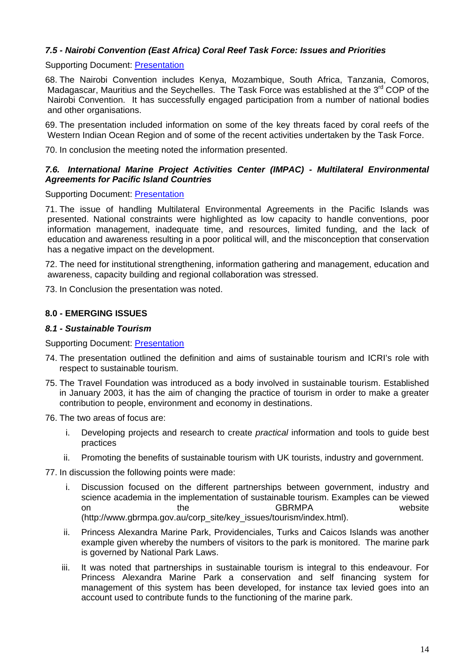## *7.5 - Nairobi Convention (East Africa) Coral Reef Task Force: Issues and Priorities*

### Supporting Document: [Presentation](http://www.icriforum.org/secretariat/doc/cpc1103/Nyawira-CRTaskForce_Nov03.pdf)

68. The Nairobi Convention includes Kenya, Mozambique, South Africa, Tanzania, Comoros, Madagascar, Mauritius and the Seychelles. The Task Force was established at the  $3^{rd}$  COP of the Nairobi Convention. It has successfully engaged participation from a number of national bodies and other organisations.

69. The presentation included information on some of the key threats faced by coral reefs of the Western Indian Ocean Region and of some of the recent activities undertaken by the Task Force.

70. In conclusion the meeting noted the information presented.

### *7.6. International Marine Project Activities Center (IMPAC) - Multilateral Environmental Agreements for Pacific Island Countries*

Supporting Document: [Presentation](http://www.icriforum.org/secretariat/doc/cpc1103/impac.pdf)

71. The issue of handling Multilateral Environmental Agreements in the Pacific Islands was presented. National constraints were highlighted as low capacity to handle conventions, poor information management, inadequate time, and resources, limited funding, and the lack of education and awareness resulting in a poor political will, and the misconception that conservation has a negative impact on the development.

72. The need for institutional strengthening, information gathering and management, education and awareness, capacity building and regional collaboration was stressed.

73. In Conclusion the presentation was noted.

#### **8.0 - EMERGING ISSUES**

#### *8.1 - Sustainable Tourism*

Supporting Document: [Presentation](http://www.icriforum.org/secretariat/doc/cpc1103/Sustainable_Tourism.pdf)

- 74. The presentation outlined the definition and aims of sustainable tourism and ICRI's role with respect to sustainable tourism.
- 75. The Travel Foundation was introduced as a body involved in sustainable tourism. Established in January 2003, it has the aim of changing the practice of tourism in order to make a greater contribution to people, environment and economy in destinations.
- 76. The two areas of focus are:
	- i. Developing projects and research to create *practical* information and tools to guide best practices
	- ii. Promoting the benefits of sustainable tourism with UK tourists, industry and government.
- 77. In discussion the following points were made:
	- i. Discussion focused on the different partnerships between government, industry and science academia in the implementation of sustainable tourism. Examples can be viewed on the the GBRMPA website (http://www.gbrmpa.gov.au/corp\_site/key\_issues/tourism/index.html).
	- ii. Princess Alexandra Marine Park, Providenciales, Turks and Caicos Islands was another example given whereby the numbers of visitors to the park is monitored. The marine park is governed by National Park Laws.
	- iii. It was noted that partnerships in sustainable tourism is integral to this endeavour. For Princess Alexandra Marine Park a conservation and self financing system for management of this system has been developed, for instance tax levied goes into an account used to contribute funds to the functioning of the marine park.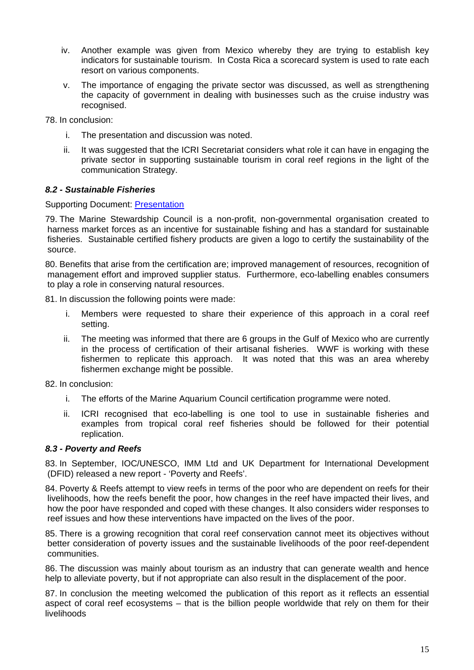- iv. Another example was given from Mexico whereby they are trying to establish key indicators for sustainable tourism. In Costa Rica a scorecard system is used to rate each resort on various components.
- v. The importance of engaging the private sector was discussed, as well as strengthening the capacity of government in dealing with businesses such as the cruise industry was recognised.

78. In conclusion:

- i. The presentation and discussion was noted.
- ii. It was suggested that the ICRI Secretariat considers what role it can have in engaging the private sector in supporting sustainable tourism in coral reef regions in the light of the communication Strategy.

## *8.2 - Sustainable Fisheries*

### Supporting Document: [Presentation](http://www.icriforum.org/secretariat/doc/cpc1103/Sustainable_Fisheries.pdf)

79. The Marine Stewardship Council is a non-profit, non-governmental organisation created to harness market forces as an incentive for sustainable fishing and has a standard for sustainable fisheries. Sustainable certified fishery products are given a logo to certify the sustainability of the source.

80. Benefits that arise from the certification are; improved management of resources, recognition of management effort and improved supplier status. Furthermore, eco-labelling enables consumers to play a role in conserving natural resources.

81. In discussion the following points were made:

- i. Members were requested to share their experience of this approach in a coral reef setting.
- ii. The meeting was informed that there are 6 groups in the Gulf of Mexico who are currently in the process of certification of their artisanal fisheries. WWF is working with these fishermen to replicate this approach. It was noted that this was an area whereby fishermen exchange might be possible.

82. In conclusion:

- i. The efforts of the Marine Aquarium Council certification programme were noted.
- ii. ICRI recognised that eco-labelling is one tool to use in sustainable fisheries and examples from tropical coral reef fisheries should be followed for their potential replication.

### *8.3 - Poverty and Reefs*

83. In September, IOC/UNESCO, IMM Ltd and UK Department for International Development (DFID) released a new report - 'Poverty and Reefs'.

84. Poverty & Reefs attempt to view reefs in terms of the poor who are dependent on reefs for their livelihoods, how the reefs benefit the poor, how changes in the reef have impacted their lives, and how the poor have responded and coped with these changes. It also considers wider responses to reef issues and how these interventions have impacted on the lives of the poor.

85. There is a growing recognition that coral reef conservation cannot meet its objectives without better consideration of poverty issues and the sustainable livelihoods of the poor reef-dependent communities.

86. The discussion was mainly about tourism as an industry that can generate wealth and hence help to alleviate poverty, but if not appropriate can also result in the displacement of the poor.

87. In conclusion the meeting welcomed the publication of this report as it reflects an essential aspect of coral reef ecosystems – that is the billion people worldwide that rely on them for their livelihoods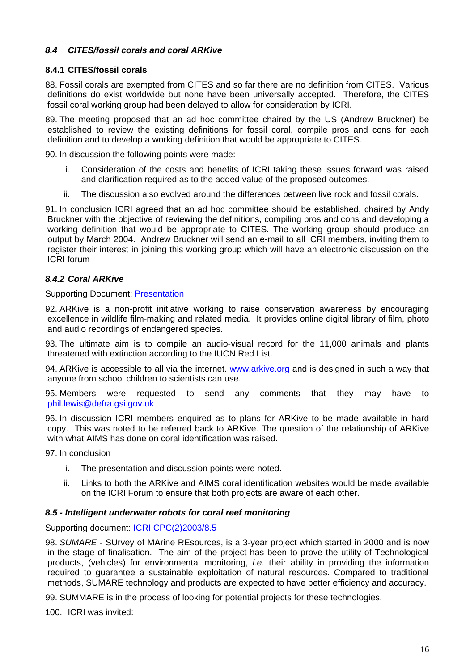## *8.4 CITES/fossil corals and coral ARKive*

## **8.4.1 CITES/fossil corals**

88. Fossil corals are exempted from CITES and so far there are no definition from CITES. Various definitions do exist worldwide but none have been universally accepted. Therefore, the CITES fossil coral working group had been delayed to allow for consideration by ICRI.

89. The meeting proposed that an ad hoc committee chaired by the US (Andrew Bruckner) be established to review the existing definitions for fossil coral, compile pros and cons for each definition and to develop a working definition that would be appropriate to CITES.

90. In discussion the following points were made:

- i. Consideration of the costs and benefits of ICRI taking these issues forward was raised and clarification required as to the added value of the proposed outcomes.
- ii. The discussion also evolved around the differences between live rock and fossil corals.

91. In conclusion ICRI agreed that an ad hoc committee should be established, chaired by Andy Bruckner with the objective of reviewing the definitions, compiling pros and cons and developing a working definition that would be appropriate to CITES. The working group should produce an output by March 2004. Andrew Bruckner will send an e-mail to all ICRI members, inviting them to register their interest in joining this working group which will have an electronic discussion on the ICRI forum

## *8.4.2 Coral ARKive*

#### Supporting Document: [Presentation](http://www.icriforum.org/secretariat/doc/cpc1103/ARKive_84.pdf)

92. ARKive is a non-profit initiative working to raise conservation awareness by encouraging excellence in wildlife film-making and related media. It provides online digital library of film, photo and audio recordings of endangered species.

93. The ultimate aim is to compile an audio-visual record for the 11,000 animals and plants threatened with extinction according to the IUCN Red List.

94. ARKive is accessible to all via the internet. [www.arkive.org](http://www.arkive.org/) and is designed in such a way that anyone from school children to scientists can use.

95. Members were requested to send any comments that they may have to [phil.lewis@defra.gsi.gov.uk](mailto:phil.lewis@defra.gsi.gov.uk)

96. In discussion ICRI members enquired as to plans for ARKive to be made available in hard copy. This was noted to be referred back to ARKive. The question of the relationship of ARKive with what AIMS has done on coral identification was raised.

97. In conclusion

- i. The presentation and discussion points were noted.
- ii. Links to both the ARKive and AIMS coral identification websites would be made available on the ICRI Forum to ensure that both projects are aware of each other.

### *8.5 - Intelligent underwater robots for coral reef monitoring*

Supporting document: [ICRI CPC\(2\)2003/8.5](http://www.icriforum.org/secretariat/doc/Robots_Coral_monitoring.pdf) 

98. *SUMARE* - SUrvey of MArine REsources, is a 3-year project which started in 2000 and is now in the stage of finalisation. The aim of the project has been to prove the utility of Technological products, (vehicles) for environmental monitoring, *i.e.* their ability in providing the information required to guarantee a sustainable exploitation of natural resources. Compared to traditional methods, SUMARE technology and products are expected to have better efficiency and accuracy.

99. SUMMARE is in the process of looking for potential projects for these technologies.

100. ICRI was invited: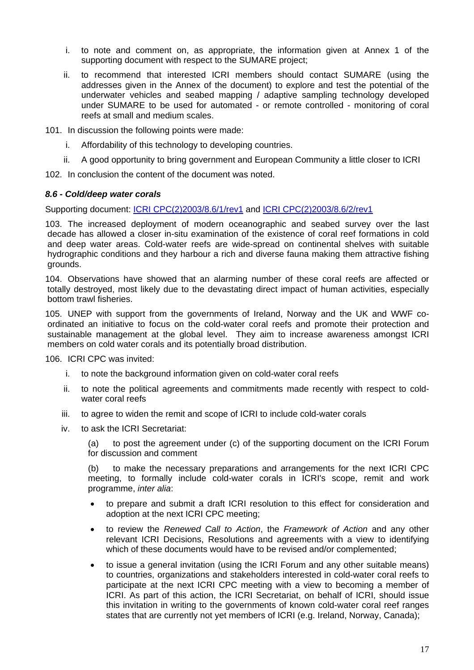- i. to note and comment on, as appropriate, the information given at Annex 1 of the supporting document with respect to the SUMARE project;
- ii. to recommend that interested ICRI members should contact SUMARE (using the addresses given in the Annex of the document) to explore and test the potential of the underwater vehicles and seabed mapping / adaptive sampling technology developed under SUMARE to be used for automated - or remote controlled - monitoring of coral reefs at small and medium scales.

101. In discussion the following points were made:

- i. Affordability of this technology to developing countries.
- ii. A good opportunity to bring government and European Community a little closer to ICRI

102. In conclusion the content of the document was noted.

#### *8.6 - Cold/deep water corals*

Supporting document: [ICRI CPC\(2\)2003/8.6/1/rev1](http://www.icriforum.org/secretariat/doc/cold_water_corals.pdf) and [ICRI CPC\(2\)2003/8.6/2/rev1](http://www.icriforum.org/secretariat/doc/draft_cold_report842rev2.pdf)

103. The increased deployment of modern oceanographic and seabed survey over the last decade has allowed a closer in-situ examination of the existence of coral reef formations in cold and deep water areas. Cold-water reefs are wide-spread on continental shelves with suitable hydrographic conditions and they harbour a rich and diverse fauna making them attractive fishing grounds.

104. Observations have showed that an alarming number of these coral reefs are affected or totally destroyed, most likely due to the devastating direct impact of human activities, especially bottom trawl fisheries.

105. UNEP with support from the governments of Ireland, Norway and the UK and WWF coordinated an initiative to focus on the cold-water coral reefs and promote their protection and sustainable management at the global level. They aim to increase awareness amongst ICRI members on cold water corals and its potentially broad distribution.

106. ICRI CPC was invited:

- i. to note the background information given on cold-water coral reefs
- ii. to note the political agreements and commitments made recently with respect to coldwater coral reefs
- iii. to agree to widen the remit and scope of ICRI to include cold-water corals
- iv. to ask the ICRI Secretariat:

(a) to post the agreement under (c) of the supporting document on the ICRI Forum for discussion and comment

(b) to make the necessary preparations and arrangements for the next ICRI CPC meeting, to formally include cold-water corals in ICRI's scope, remit and work programme, *inter alia*:

- to prepare and submit a draft ICRI resolution to this effect for consideration and adoption at the next ICRI CPC meeting;
- to review the *Renewed Call to Action*, the *Framework of Action* and any other relevant ICRI Decisions, Resolutions and agreements with a view to identifying which of these documents would have to be revised and/or complemented;
- to issue a general invitation (using the ICRI Forum and any other suitable means) to countries, organizations and stakeholders interested in cold-water coral reefs to participate at the next ICRI CPC meeting with a view to becoming a member of ICRI. As part of this action, the ICRI Secretariat, on behalf of ICRI, should issue this invitation in writing to the governments of known cold-water coral reef ranges states that are currently not yet members of ICRI (e.g. Ireland, Norway, Canada);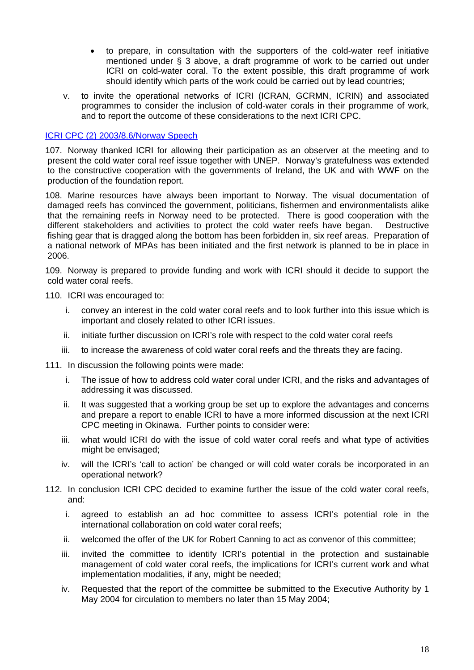- to prepare, in consultation with the supporters of the cold-water reef initiative mentioned under § 3 above, a draft programme of work to be carried out under ICRI on cold-water coral. To the extent possible, this draft programme of work should identify which parts of the work could be carried out by lead countries;
- v. to invite the operational networks of ICRI (ICRAN, GCRMN, ICRIN) and associated programmes to consider the inclusion of cold-water corals in their programme of work, and to report the outcome of these considerations to the next ICRI CPC.

## [ICRI CPC \(2\) 2003/8.6/Norway Speech](http://www.icriforum.org/secretariat/doc/cpc1103/ICRICPC_Norway86.pdf)

107. Norway thanked ICRI for allowing their participation as an observer at the meeting and to present the cold water coral reef issue together with UNEP. Norway's gratefulness was extended to the constructive cooperation with the governments of Ireland, the UK and with WWF on the production of the foundation report.

108. Marine resources have always been important to Norway. The visual documentation of damaged reefs has convinced the government, politicians, fishermen and environmentalists alike that the remaining reefs in Norway need to be protected. There is good cooperation with the different stakeholders and activities to protect the cold water reefs have began. Destructive fishing gear that is dragged along the bottom has been forbidden in, six reef areas. Preparation of a national network of MPAs has been initiated and the first network is planned to be in place in 2006.

109. Norway is prepared to provide funding and work with ICRI should it decide to support the cold water coral reefs.

110. ICRI was encouraged to:

- i. convey an interest in the cold water coral reefs and to look further into this issue which is important and closely related to other ICRI issues.
- ii. initiate further discussion on ICRI's role with respect to the cold water coral reefs
- iii. to increase the awareness of cold water coral reefs and the threats they are facing.

111. In discussion the following points were made:

- i. The issue of how to address cold water coral under ICRI, and the risks and advantages of addressing it was discussed.
- ii. It was suggested that a working group be set up to explore the advantages and concerns and prepare a report to enable ICRI to have a more informed discussion at the next ICRI CPC meeting in Okinawa. Further points to consider were:
- iii. what would ICRI do with the issue of cold water coral reefs and what type of activities might be envisaged;
- iv. will the ICRI's 'call to action' be changed or will cold water corals be incorporated in an operational network?
- 112. In conclusion ICRI CPC decided to examine further the issue of the cold water coral reefs, and:
	- i. agreed to establish an ad hoc committee to assess ICRI's potential role in the international collaboration on cold water coral reefs;
	- ii. welcomed the offer of the UK for Robert Canning to act as convenor of this committee;
	- iii. invited the committee to identify ICRI's potential in the protection and sustainable management of cold water coral reefs, the implications for ICRI's current work and what implementation modalities, if any, might be needed;
	- iv. Requested that the report of the committee be submitted to the Executive Authority by 1 May 2004 for circulation to members no later than 15 May 2004;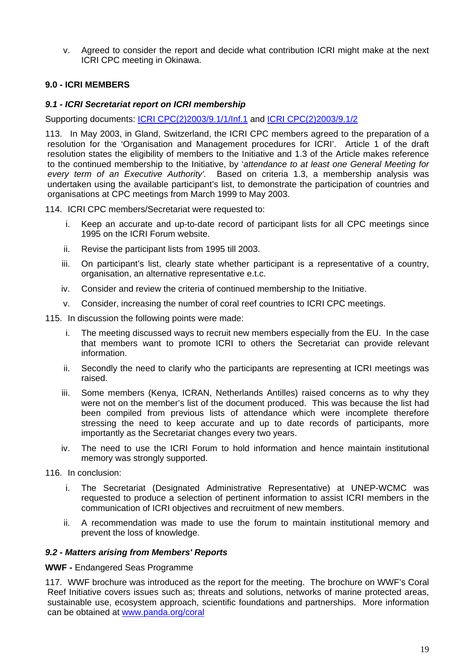v. Agreed to consider the report and decide what contribution ICRI might make at the next ICRI CPC meeting in Okinawa.

## **9.0 - ICRI MEMBERS**

#### *9.1 - ICRI Secretariat report on ICRI membership*

Supporting documents: [ICRI CPC\(2\)2003/9.1/1/Inf.1](http://www.icriforum.org/secretariat/doc/New_members_91.pdf) and [ICRI CPC\(2\)2003/9.1/2](http://www.icriforum.org/secretariat/doc/membership_analysis.pdf)

113. In May 2003, in Gland, Switzerland, the ICRI CPC members agreed to the preparation of a resolution for the 'Organisation and Management procedures for ICRI'. Article 1 of the draft resolution states the eligibility of members to the Initiative and 1.3 of the Article makes reference to the continued membership to the Initiative, by '*attendance to at least one General Meeting for every term of an Executive Authority'.* Based on criteria 1.3, a membership analysis was undertaken using the available participant's list, to demonstrate the participation of countries and organisations at CPC meetings from March 1999 to May 2003.

114. ICRI CPC members/Secretariat were requested to:

- i. Keep an accurate and up-to-date record of participant lists for all CPC meetings since 1995 on the ICRI Forum website.
- ii. Revise the participant lists from 1995 till 2003.
- iii. On participant's list, clearly state whether participant is a representative of a country, organisation, an alternative representative e.t.c.
- iv. Consider and review the criteria of continued membership to the Initiative.
- v. Consider, increasing the number of coral reef countries to ICRI CPC meetings.

115. In discussion the following points were made:

- i. The meeting discussed ways to recruit new members especially from the EU. In the case that members want to promote ICRI to others the Secretariat can provide relevant information.
- ii. Secondly the need to clarify who the participants are representing at ICRI meetings was raised.
- iii. Some members (Kenya, ICRAN, Netherlands Antilles) raised concerns as to why they were not on the member's list of the document produced. This was because the list had been compiled from previous lists of attendance which were incomplete therefore stressing the need to keep accurate and up to date records of participants, more importantly as the Secretariat changes every two years.
- iv. The need to use the ICRI Forum to hold information and hence maintain institutional memory was strongly supported.
- 116. In conclusion:
	- i. The Secretariat (Designated Administrative Representative) at UNEP-WCMC was requested to produce a selection of pertinent information to assist ICRI members in the communication of ICRI objectives and recruitment of new members.
	- ii. A recommendation was made to use the forum to maintain institutional memory and prevent the loss of knowledge.

### *9.2 - Matters arising from Members' Reports*

#### **WWF -** Endangered Seas Programme

117. WWF brochure was introduced as the report for the meeting. The brochure on WWF's Coral Reef Initiative covers issues such as; threats and solutions, networks of marine protected areas, sustainable use, ecosystem approach, scientific foundations and partnerships. More information can be obtained at [www.panda.org/coral](http://www.panda.org/coral)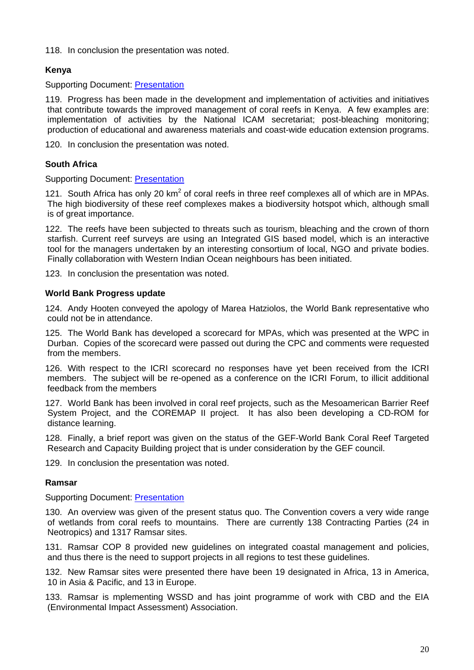118. In conclusion the presentation was noted.

## **Kenya**

Supporting Document: [Presentation](http://www.icriforum.org/secretariat/doc/cpc1103/ICRI_COUNTRY_REPORTkenya.pdf)

119. Progress has been made in the development and implementation of activities and initiatives that contribute towards the improved management of coral reefs in Kenya. A few examples are: implementation of activities by the National ICAM secretariat; post-bleaching monitoring; production of educational and awareness materials and coast-wide education extension programs.

120. In conclusion the presentation was noted.

## **South Africa**

Supporting Document: [Presentation](http://www.icriforum.org/secretariat/doc/cpc1103/SA.pdf)

121. South Africa has only 20  $km^2$  of coral reefs in three reef complexes all of which are in MPAs. The high biodiversity of these reef complexes makes a biodiversity hotspot which, although small is of great importance.

122. The reefs have been subjected to threats such as tourism, bleaching and the crown of thorn starfish. Current reef surveys are using an Integrated GIS based model, which is an interactive tool for the managers undertaken by an interesting consortium of local, NGO and private bodies. Finally collaboration with Western Indian Ocean neighbours has been initiated.

123. In conclusion the presentation was noted.

### **World Bank Progress update**

124. Andy Hooten conveyed the apology of Marea Hatziolos, the World Bank representative who could not be in attendance.

125. The World Bank has developed a scorecard for MPAs, which was presented at the WPC in Durban. Copies of the scorecard were passed out during the CPC and comments were requested from the members.

126. With respect to the ICRI scorecard no responses have yet been received from the ICRI members. The subject will be re-opened as a conference on the ICRI Forum, to illicit additional feedback from the members

127. World Bank has been involved in coral reef projects, such as the Mesoamerican Barrier Reef System Project, and the COREMAP II project. It has also been developing a CD-ROM for distance learning.

128. Finally, a brief report was given on the status of the GEF-World Bank Coral Reef Targeted Research and Capacity Building project that is under consideration by the GEF council.

129. In conclusion the presentation was noted.

### **Ramsar**

Supporting Document: [Presentation](http://www.icriforum.org/secretariat/doc/cpc1103/Ramsar.pdf)

130. An overview was given of the present status quo. The Convention covers a very wide range of wetlands from coral reefs to mountains. There are currently 138 Contracting Parties (24 in Neotropics) and 1317 Ramsar sites.

131. Ramsar COP 8 provided new guidelines on integrated coastal management and policies, and thus there is the need to support projects in all regions to test these guidelines.

132. New Ramsar sites were presented there have been 19 designated in Africa, 13 in America, 10 in Asia & Pacific, and 13 in Europe.

133. Ramsar is mplementing WSSD and has joint programme of work with CBD and the EIA (Environmental Impact Assessment) Association.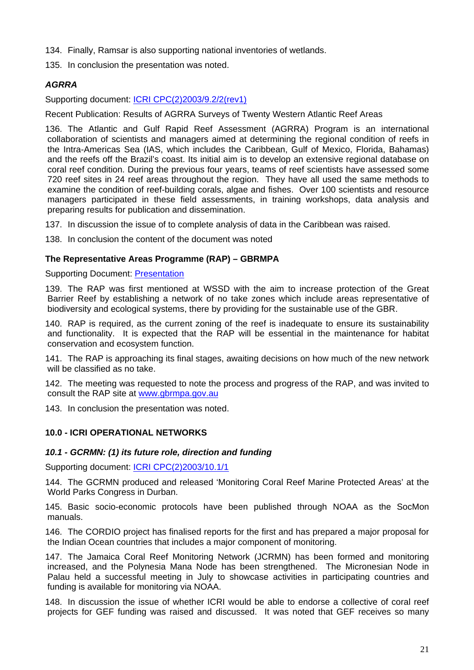- 134. Finally, Ramsar is also supporting national inventories of wetlands.
- 135. In conclusion the presentation was noted.

## *AGRRA*

Supporting document: [ICRI CPC\(2\)2003/9.2/2\(rev1\)](http://www.icriforum.org/secretariat/doc/AGRRA.pdf)

Recent Publication: Results of AGRRA Surveys of Twenty Western Atlantic Reef Areas

136. The Atlantic and Gulf Rapid Reef Assessment (AGRRA) Program is an international collaboration of scientists and managers aimed at determining the regional condition of reefs in the Intra-Americas Sea (IAS, which includes the Caribbean, Gulf of Mexico, Florida, Bahamas) and the reefs off the Brazil's coast. Its initial aim is to develop an extensive regional database on coral reef condition. During the previous four years, teams of reef scientists have assessed some 720 reef sites in 24 reef areas throughout the region. They have all used the same methods to examine the condition of reef-building corals, algae and fishes. Over 100 scientists and resource managers participated in these field assessments, in training workshops, data analysis and preparing results for publication and dissemination.

137. In discussion the issue of to complete analysis of data in the Caribbean was raised.

138. In conclusion the content of the document was noted

## **The Representative Areas Programme (RAP) – GBRMPA**

Supporting Document: [Presentation](http://www.icriforum.org/secretariat/doc/cpc1103/71_GBR.ppt)

139. The RAP was first mentioned at WSSD with the aim to increase protection of the Great Barrier Reef by establishing a network of no take zones which include areas representative of biodiversity and ecological systems, there by providing for the sustainable use of the GBR.

140. RAP is required, as the current zoning of the reef is inadequate to ensure its sustainability and functionality. It is expected that the RAP will be essential in the maintenance for habitat conservation and ecosystem function.

141. The RAP is approaching its final stages, awaiting decisions on how much of the new network will be classified as no take.

142. The meeting was requested to note the process and progress of the RAP, and was invited to consult the RAP site at [www.gbrmpa.gov.au](http://www.gbrmpa.gov.au/)

143. In conclusion the presentation was noted.

## **10.0 - ICRI OPERATIONAL NETWORKS**

### *10.1 - GCRMN: (1) its future role, direction and funding*

Supporting document: [ICRI CPC\(2\)2003/10.1/1](http://www.icriforum.org/secretariat/doc/GCRMN10_1_1.pdf)

144. The GCRMN produced and released 'Monitoring Coral Reef Marine Protected Areas' at the World Parks Congress in Durban.

145. Basic socio-economic protocols have been published through NOAA as the SocMon manuals.

146. The CORDIO project has finalised reports for the first and has prepared a major proposal for the Indian Ocean countries that includes a major component of monitoring.

147. The Jamaica Coral Reef Monitoring Network (JCRMN) has been formed and monitoring increased, and the Polynesia Mana Node has been strengthened. The Micronesian Node in Palau held a successful meeting in July to showcase activities in participating countries and funding is available for monitoring via NOAA.

148. In discussion the issue of whether ICRI would be able to endorse a collective of coral reef projects for GEF funding was raised and discussed. It was noted that GEF receives so many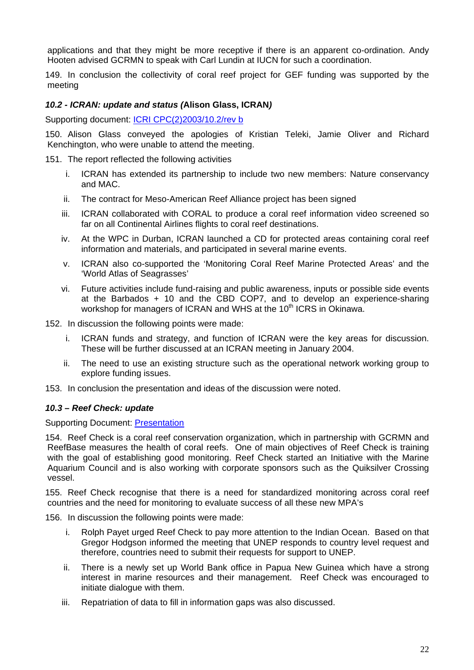applications and that they might be more receptive if there is an apparent co-ordination. Andy Hooten advised GCRMN to speak with Carl Lundin at IUCN for such a coordination.

149. In conclusion the collectivity of coral reef project for GEF funding was supported by the meeting

## *10.2 - ICRAN: update and status (***Alison Glass, ICRAN***)*

Supporting document: [ICRI CPC\(2\)2003/10.2/rev b](http://www.icriforum.org/secretariat/doc/ICRANProgressReport-ICRI-CPCNov03.pdf)

150. Alison Glass conveyed the apologies of Kristian Teleki, Jamie Oliver and Richard Kenchington, who were unable to attend the meeting.

#### 151. The report reflected the following activities

- i. ICRAN has extended its partnership to include two new members: Nature conservancy and MAC.
- ii. The contract for Meso-American Reef Alliance project has been signed
- iii. ICRAN collaborated with CORAL to produce a coral reef information video screened so far on all Continental Airlines flights to coral reef destinations.
- iv. At the WPC in Durban, ICRAN launched a CD for protected areas containing coral reef information and materials, and participated in several marine events.
- v. ICRAN also co-supported the 'Monitoring Coral Reef Marine Protected Areas' and the 'World Atlas of Seagrasses'
- vi. Future activities include fund-raising and public awareness, inputs or possible side events at the Barbados + 10 and the CBD COP7, and to develop an experience-sharing workshop for managers of ICRAN and WHS at the 10<sup>th</sup> ICRS in Okinawa.

152. In discussion the following points were made:

- i. ICRAN funds and strategy, and function of ICRAN were the key areas for discussion. These will be further discussed at an ICRAN meeting in January 2004.
- ii. The need to use an existing structure such as the operational network working group to explore funding issues.
- 153. In conclusion the presentation and ideas of the discussion were noted.

### *10.3 – Reef Check: update*

Supporting Document: [Presentation](http://www.icriforum.org/secretariat/doc/cpc1103/ReefCheck.pdf)

154. Reef Check is a coral reef conservation organization, which in partnership with GCRMN and ReefBase measures the health of coral reefs. One of main objectives of Reef Check is training with the goal of establishing good monitoring. Reef Check started an Initiative with the Marine Aquarium Council and is also working with corporate sponsors such as the Quiksilver Crossing vessel.

155. Reef Check recognise that there is a need for standardized monitoring across coral reef countries and the need for monitoring to evaluate success of all these new MPA's

156. In discussion the following points were made:

- i. Rolph Payet urged Reef Check to pay more attention to the Indian Ocean. Based on that Gregor Hodgson informed the meeting that UNEP responds to country level request and therefore, countries need to submit their requests for support to UNEP.
- ii. There is a newly set up World Bank office in Papua New Guinea which have a strong interest in marine resources and their management. Reef Check was encouraged to initiate dialogue with them.
- iii. Repatriation of data to fill in information gaps was also discussed.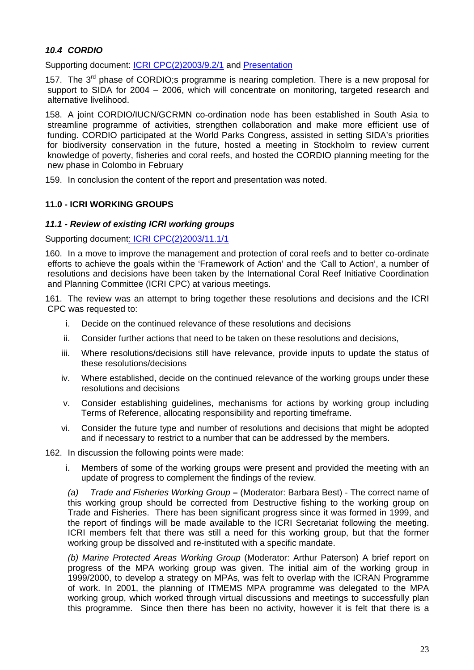## *10.4 CORDIO*

Supporting document: [ICRI CPC\(2\)2003/9.2/1](http://www.icriforum.org/secretariat/doc/cordio_SA.pdf) and [Presentation](http://www.icriforum.org/secretariat/doc/cpc1103/CORDIO_report.pdf)

157. The  $3^{rd}$  phase of CORDIO;s programme is nearing completion. There is a new proposal for support to SIDA for 2004 – 2006, which will concentrate on monitoring, targeted research and alternative livelihood.

158. A joint CORDIO/IUCN/GCRMN co-ordination node has been established in South Asia to streamline programme of activities, strengthen collaboration and make more efficient use of funding. CORDIO participated at the World Parks Congress, assisted in setting SIDA's priorities for biodiversity conservation in the future, hosted a meeting in Stockholm to review current knowledge of poverty, fisheries and coral reefs, and hosted the CORDIO planning meeting for the new phase in Colombo in February

159. In conclusion the content of the report and presentation was noted.

### **11.0 - ICRI WORKING GROUPS**

## *11.1 - Review of existing ICRI working groups*

Supporting documen[t: ICRI CPC\(2\)2003/11.1/1](http://www.icriforum.org/secretariat/doc/ICRI_MEASURES_FINAL.pdf)

160. In a move to improve the management and protection of coral reefs and to better co-ordinate efforts to achieve the goals within the 'Framework of Action' and the 'Call to Action', a number of resolutions and decisions have been taken by the International Coral Reef Initiative Coordination and Planning Committee (ICRI CPC) at various meetings.

161. The review was an attempt to bring together these resolutions and decisions and the ICRI CPC was requested to:

- i. Decide on the continued relevance of these resolutions and decisions
- ii. Consider further actions that need to be taken on these resolutions and decisions,
- iii. Where resolutions/decisions still have relevance, provide inputs to update the status of these resolutions/decisions
- iv. Where established, decide on the continued relevance of the working groups under these resolutions and decisions
- v. Consider establishing guidelines, mechanisms for actions by working group including Terms of Reference, allocating responsibility and reporting timeframe.
- vi. Consider the future type and number of resolutions and decisions that might be adopted and if necessary to restrict to a number that can be addressed by the members.
- 162. In discussion the following points were made:
	- i. Members of some of the working groups were present and provided the meeting with an update of progress to complement the findings of the review.

*(a) Trade and Fisheries Working Group* **–** (Moderator: Barbara Best) - The correct name of this working group should be corrected from Destructive fishing to the working group on Trade and Fisheries. There has been significant progress since it was formed in 1999, and the report of findings will be made available to the ICRI Secretariat following the meeting. ICRI members felt that there was still a need for this working group, but that the former working group be dissolved and re-instituted with a specific mandate.

*(b) Marine Protected Areas Working Group* (Moderator: Arthur Paterson) A brief report on progress of the MPA working group was given. The initial aim of the working group in 1999/2000, to develop a strategy on MPAs, was felt to overlap with the ICRAN Programme of work. In 2001, the planning of ITMEMS MPA programme was delegated to the MPA working group, which worked through virtual discussions and meetings to successfully plan this programme. Since then there has been no activity, however it is felt that there is a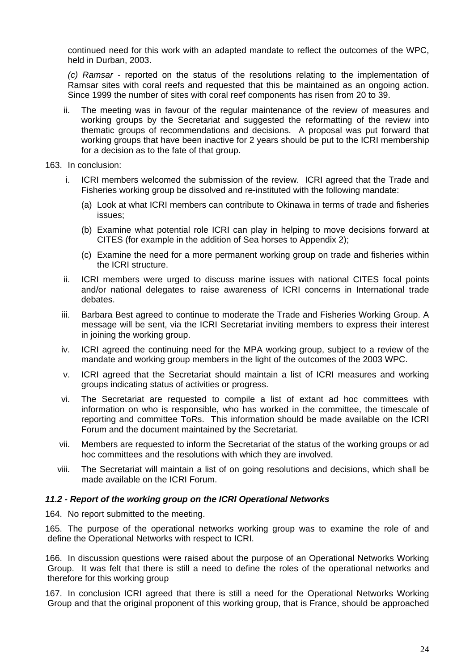continued need for this work with an adapted mandate to reflect the outcomes of the WPC, held in Durban, 2003.

*(c) Ramsar -* reported on the status of the resolutions relating to the implementation of Ramsar sites with coral reefs and requested that this be maintained as an ongoing action. Since 1999 the number of sites with coral reef components has risen from 20 to 39.

- ii. The meeting was in favour of the regular maintenance of the review of measures and working groups by the Secretariat and suggested the reformatting of the review into thematic groups of recommendations and decisions. A proposal was put forward that working groups that have been inactive for 2 years should be put to the ICRI membership for a decision as to the fate of that group.
- 163. In conclusion:
	- i. ICRI members welcomed the submission of the review. ICRI agreed that the Trade and Fisheries working group be dissolved and re-instituted with the following mandate:
		- (a) Look at what ICRI members can contribute to Okinawa in terms of trade and fisheries issues;
		- (b) Examine what potential role ICRI can play in helping to move decisions forward at CITES (for example in the addition of Sea horses to Appendix 2);
		- (c) Examine the need for a more permanent working group on trade and fisheries within the ICRI structure.
	- ii. ICRI members were urged to discuss marine issues with national CITES focal points and/or national delegates to raise awareness of ICRI concerns in International trade debates.
	- iii. Barbara Best agreed to continue to moderate the Trade and Fisheries Working Group. A message will be sent, via the ICRI Secretariat inviting members to express their interest in joining the working group.
	- iv. ICRI agreed the continuing need for the MPA working group, subject to a review of the mandate and working group members in the light of the outcomes of the 2003 WPC.
	- v. ICRI agreed that the Secretariat should maintain a list of ICRI measures and working groups indicating status of activities or progress.
	- vi. The Secretariat are requested to compile a list of extant ad hoc committees with information on who is responsible, who has worked in the committee, the timescale of reporting and committee ToRs. This information should be made available on the ICRI Forum and the document maintained by the Secretariat.
	- vii. Members are requested to inform the Secretariat of the status of the working groups or ad hoc committees and the resolutions with which they are involved.
	- viii. The Secretariat will maintain a list of on going resolutions and decisions, which shall be made available on the ICRI Forum.

### *11.2 - Report of the working group on the ICRI Operational Networks*

164. No report submitted to the meeting.

165. The purpose of the operational networks working group was to examine the role of and define the Operational Networks with respect to ICRI.

166. In discussion questions were raised about the purpose of an Operational Networks Working Group. It was felt that there is still a need to define the roles of the operational networks and therefore for this working group

167. In conclusion ICRI agreed that there is still a need for the Operational Networks Working Group and that the original proponent of this working group, that is France, should be approached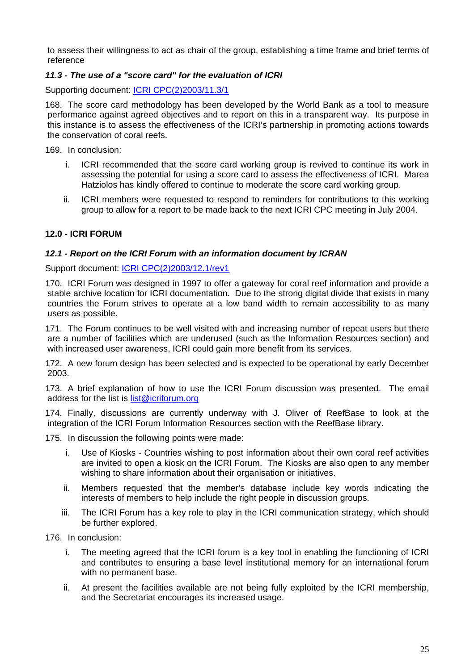to assess their willingness to act as chair of the group, establishing a time frame and brief terms of reference

## *11.3 - The use of a "score card" for the evaluation of ICRI*

Supporting document: [ICRI CPC\(2\)2003/11.3/1](http://www.icriforum.org/secretariat/doc/Draft_ICRI_scorecard.pdf)

168. The score card methodology has been developed by the World Bank as a tool to measure performance against agreed objectives and to report on this in a transparent way. Its purpose in this instance is to assess the effectiveness of the ICRI's partnership in promoting actions towards the conservation of coral reefs.

169. In conclusion:

- i. ICRI recommended that the score card working group is revived to continue its work in assessing the potential for using a score card to assess the effectiveness of ICRI. Marea Hatziolos has kindly offered to continue to moderate the score card working group.
- ii. ICRI members were requested to respond to reminders for contributions to this working group to allow for a report to be made back to the next ICRI CPC meeting in July 2004.

### **12.0 - ICRI FORUM**

#### *12.1 - Report on the ICRI Forum with an information document by ICRAN*

Support document: [ICRI CPC\(2\)2003/12.1/rev1](http://www.icriforum.org/secretariat/doc/HostingTheICRIForum.pdf)

170. ICRI Forum was designed in 1997 to offer a gateway for coral reef information and provide a stable archive location for ICRI documentation. Due to the strong digital divide that exists in many countries the Forum strives to operate at a low band width to remain accessibility to as many users as possible.

171. The Forum continues to be well visited with and increasing number of repeat users but there are a number of facilities which are underused (such as the Information Resources section) and with increased user awareness, ICRI could gain more benefit from its services.

172. A new forum design has been selected and is expected to be operational by early December 2003.

173. A brief explanation of how to use the ICRI Forum discussion was presented. The email address for the list is [list@icriforum.org](mailto:list@icriforum.org)

174. Finally, discussions are currently underway with J. Oliver of ReefBase to look at the integration of the ICRI Forum Information Resources section with the ReefBase library.

175. In discussion the following points were made:

- i. Use of Kiosks Countries wishing to post information about their own coral reef activities are invited to open a kiosk on the ICRI Forum. The Kiosks are also open to any member wishing to share information about their organisation or initiatives.
- ii. Members requested that the member's database include key words indicating the interests of members to help include the right people in discussion groups.
- iii. The ICRI Forum has a key role to play in the ICRI communication strategy, which should be further explored.

176. In conclusion:

- i. The meeting agreed that the ICRI forum is a key tool in enabling the functioning of ICRI and contributes to ensuring a base level institutional memory for an international forum with no permanent base.
- ii. At present the facilities available are not being fully exploited by the ICRI membership, and the Secretariat encourages its increased usage.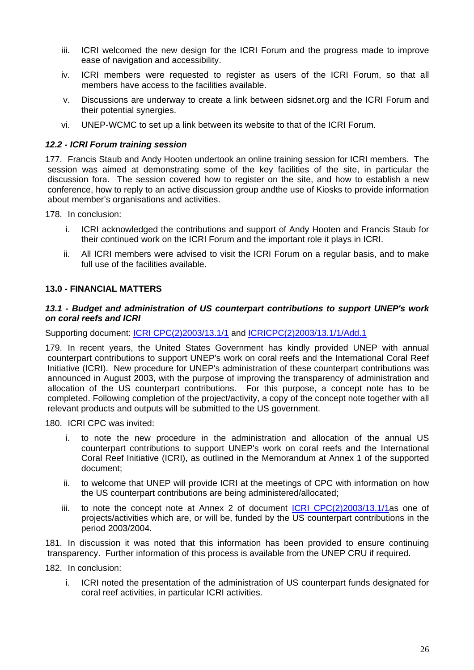- iii. ICRI welcomed the new design for the ICRI Forum and the progress made to improve ease of navigation and accessibility.
- iv. ICRI members were requested to register as users of the ICRI Forum, so that all members have access to the facilities available.
- v. Discussions are underway to create a link between sidsnet.org and the ICRI Forum and their potential synergies.
- vi. UNEP-WCMC to set up a link between its website to that of the ICRI Forum.

### *12.2 - ICRI Forum training session*

177. Francis Staub and Andy Hooten undertook an online training session for ICRI members. The session was aimed at demonstrating some of the key facilities of the site, in particular the discussion fora. The session covered how to register on the site, and how to establish a new conference, how to reply to an active discussion group andthe use of Kiosks to provide information about member's organisations and activities.

178. In conclusion:

- i. ICRI acknowledged the contributions and support of Andy Hooten and Francis Staub for their continued work on the ICRI Forum and the important role it plays in ICRI.
- ii. All ICRI members were advised to visit the ICRI Forum on a regular basis, and to make full use of the facilities available.

#### **13.0 - FINANCIAL MATTERS**

#### *13.1 - Budget and administration of US counterpart contributions to support UNEP's work on coral reefs and ICRI*

Supporting document: *[ICRI CPC\(2\)2003/13.1/1](http://www.icriforum.org/secretariat/doc/US_counterpart_contributions13_1.pdf)* and *[ICRICPC\(2\)2003/13.1/1/Add.1](http://www.icriforum.org/secretariat/doc/US_counterpart_contributions_Add1.pdf)* 

179. In recent years, the United States Government has kindly provided UNEP with annual counterpart contributions to support UNEP's work on coral reefs and the International Coral Reef Initiative (ICRI). New procedure for UNEP's administration of these counterpart contributions was announced in August 2003, with the purpose of improving the transparency of administration and allocation of the US counterpart contributions. For this purpose, a concept note has to be completed. Following completion of the project/activity, a copy of the concept note together with all relevant products and outputs will be submitted to the US government.

180. ICRI CPC was invited:

- i. to note the new procedure in the administration and allocation of the annual US counterpart contributions to support UNEP's work on coral reefs and the International Coral Reef Initiative (ICRI), as outlined in the Memorandum at Annex 1 of the supported document;
- ii. to welcome that UNEP will provide ICRI at the meetings of CPC with information on how the US counterpart contributions are being administered/allocated;
- iii. to note the concept note at Annex 2 of document ICRI CPC(2)2003/13.1/1as one of projects/activities which are, or will be, funded by the US counterpart contributions in the period 2003/2004.

181. In discussion it was noted that this information has been provided to ensure continuing transparency. Further information of this process is available from the UNEP CRU if required.

182. In conclusion:

i. ICRI noted the presentation of the administration of US counterpart funds designated for coral reef activities, in particular ICRI activities.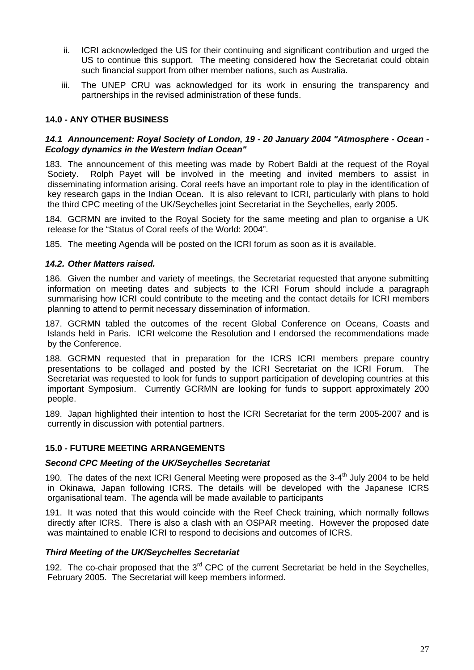- ii. ICRI acknowledged the US for their continuing and significant contribution and urged the US to continue this support. The meeting considered how the Secretariat could obtain such financial support from other member nations, such as Australia.
- iii. The UNEP CRU was acknowledged for its work in ensuring the transparency and partnerships in the revised administration of these funds.

## **14.0 - ANY OTHER BUSINESS**

#### *14.1 Announcement: Royal Society of London, 19 - 20 January 2004 "Atmosphere - Ocean - Ecology dynamics in the Western Indian Ocean"*

183. The announcement of this meeting was made by Robert Baldi at the request of the Royal Society. Rolph Payet will be involved in the meeting and invited members to assist in disseminating information arising. Coral reefs have an important role to play in the identification of key research gaps in the Indian Ocean. It is also relevant to ICRI, particularly with plans to hold the third CPC meeting of the UK/Seychelles joint Secretariat in the Seychelles, early 2005**.** 

184. GCRMN are invited to the Royal Society for the same meeting and plan to organise a UK release for the "Status of Coral reefs of the World: 2004".

185. The meeting Agenda will be posted on the ICRI forum as soon as it is available.

## *14.2. Other Matters raised.*

186. Given the number and variety of meetings, the Secretariat requested that anyone submitting information on meeting dates and subjects to the ICRI Forum should include a paragraph summarising how ICRI could contribute to the meeting and the contact details for ICRI members planning to attend to permit necessary dissemination of information.

187. GCRMN tabled the outcomes of the recent Global Conference on Oceans, Coasts and Islands held in Paris. ICRI welcome the Resolution and I endorsed the recommendations made by the Conference.

188. GCRMN requested that in preparation for the ICRS ICRI members prepare country presentations to be collaged and posted by the ICRI Secretariat on the ICRI Forum. The Secretariat was requested to look for funds to support participation of developing countries at this important Symposium. Currently GCRMN are looking for funds to support approximately 200 people.

189. Japan highlighted their intention to host the ICRI Secretariat for the term 2005-2007 and is currently in discussion with potential partners.

### **15.0 - FUTURE MEETING ARRANGEMENTS**

### *Second CPC Meeting of the UK/Seychelles Secretariat*

190. The dates of the next ICRI General Meeting were proposed as the  $3-4<sup>th</sup>$  July 2004 to be held in Okinawa, Japan following ICRS. The details will be developed with the Japanese ICRS organisational team. The agenda will be made available to participants

191. It was noted that this would coincide with the Reef Check training, which normally follows directly after ICRS. There is also a clash with an OSPAR meeting. However the proposed date was maintained to enable ICRI to respond to decisions and outcomes of ICRS.

### *Third Meeting of the UK/Seychelles Secretariat*

192. The co-chair proposed that the  $3<sup>rd</sup>$  CPC of the current Secretariat be held in the Seychelles, February 2005. The Secretariat will keep members informed.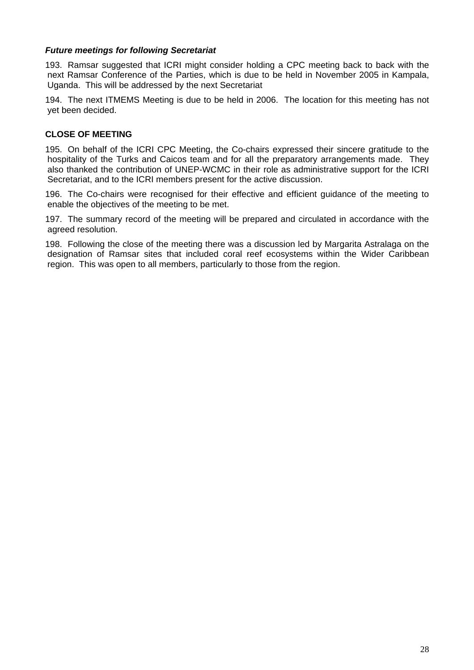## *Future meetings for following Secretariat*

193. Ramsar suggested that ICRI might consider holding a CPC meeting back to back with the next Ramsar Conference of the Parties, which is due to be held in November 2005 in Kampala, Uganda. This will be addressed by the next Secretariat

194. The next ITMEMS Meeting is due to be held in 2006. The location for this meeting has not yet been decided.

## **CLOSE OF MEETING**

195. On behalf of the ICRI CPC Meeting, the Co-chairs expressed their sincere gratitude to the hospitality of the Turks and Caicos team and for all the preparatory arrangements made. They also thanked the contribution of UNEP-WCMC in their role as administrative support for the ICRI Secretariat, and to the ICRI members present for the active discussion.

196. The Co-chairs were recognised for their effective and efficient guidance of the meeting to enable the objectives of the meeting to be met.

197. The summary record of the meeting will be prepared and circulated in accordance with the agreed resolution.

198. Following the close of the meeting there was a discussion led by Margarita Astralaga on the designation of Ramsar sites that included coral reef ecosystems within the Wider Caribbean region. This was open to all members, particularly to those from the region.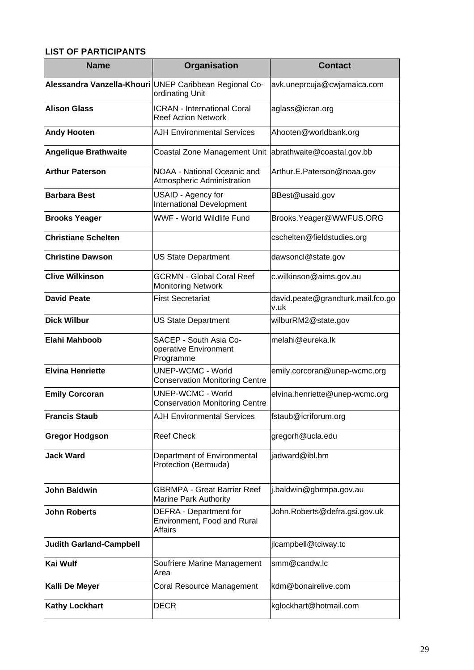# <span id="page-28-0"></span>**LIST OF PARTICIPANTS**

| <b>Name</b>                    | Organisation                                                              | <b>Contact</b>                            |
|--------------------------------|---------------------------------------------------------------------------|-------------------------------------------|
|                                | Alessandra Vanzella-Khouri UNEP Caribbean Regional Co-<br>ordinating Unit | avk.uneprcuja@cwjamaica.com               |
| <b>Alison Glass</b>            | <b>ICRAN - International Coral</b><br><b>Reef Action Network</b>          | aglass@icran.org                          |
| <b>Andy Hooten</b>             | <b>AJH Environmental Services</b>                                         | Ahooten@worldbank.org                     |
| <b>Angelique Brathwaite</b>    | Coastal Zone Management Unit                                              | abrathwaite@coastal.gov.bb                |
| <b>Arthur Paterson</b>         | NOAA - National Oceanic and<br>Atmospheric Administration                 | Arthur.E.Paterson@noaa.gov                |
| <b>Barbara Best</b>            | USAID - Agency for<br><b>International Development</b>                    | BBest@usaid.gov                           |
| <b>Brooks Yeager</b>           | WWF - World Wildlife Fund                                                 | Brooks.Yeager@WWFUS.ORG                   |
| <b>Christiane Schelten</b>     |                                                                           | cschelten@fieldstudies.org                |
| <b>Christine Dawson</b>        | <b>US State Department</b>                                                | dawsoncl@state.gov                        |
| <b>Clive Wilkinson</b>         | <b>GCRMN - Global Coral Reef</b><br><b>Monitoring Network</b>             | c.wilkinson@aims.gov.au                   |
| <b>David Peate</b>             | <b>First Secretariat</b>                                                  | david.peate@grandturk.mail.fco.go<br>v.uk |
| <b>Dick Wilbur</b>             | <b>US State Department</b>                                                | wilburRM2@state.gov                       |
| Elahi Mahboob                  | SACEP - South Asia Co-<br>operative Environment<br>Programme              | melahi@eureka.lk                          |
| <b>Elvina Henriette</b>        | <b>UNEP-WCMC - World</b><br><b>Conservation Monitoring Centre</b>         | emily.corcoran@unep-wcmc.org              |
| <b>Emily Corcoran</b>          | <b>UNEP-WCMC - World</b><br><b>Conservation Monitoring Centre</b>         | elvina.henriette@unep-wcmc.org            |
| <b>Francis Staub</b>           | <b>AJH Environmental Services</b>                                         | fstaub@icriforum.org                      |
| <b>Gregor Hodgson</b>          | <b>Reef Check</b>                                                         | gregorh@ucla.edu                          |
| <b>Jack Ward</b>               | Department of Environmental<br>Protection (Bermuda)                       | jadward@ibl.bm                            |
| <b>John Baldwin</b>            | <b>GBRMPA - Great Barrier Reef</b><br>Marine Park Authority               | j.baldwin@gbrmpa.gov.au                   |
| <b>John Roberts</b>            | DEFRA - Department for<br>Environment, Food and Rural<br><b>Affairs</b>   | John.Roberts@defra.gsi.gov.uk             |
| <b>Judith Garland-Campbell</b> |                                                                           | jlcampbell@tciway.tc                      |
| <b>Kai Wulf</b>                | Soufriere Marine Management<br>Area                                       | smm@candw.lc                              |
| Kalli De Meyer                 | Coral Resource Management                                                 | kdm@bonairelive.com                       |
| <b>Kathy Lockhart</b>          | <b>DECR</b>                                                               | kglockhart@hotmail.com                    |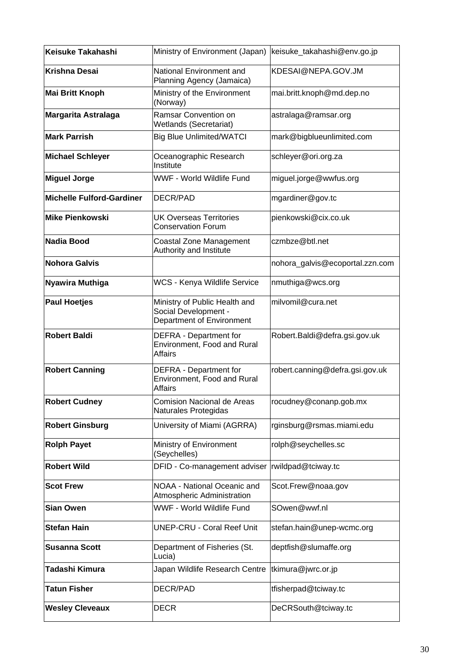| Keisuke Takahashi                | Ministry of Environment (Japan) keisuke_takahashi@env.go.jp                        |                                 |
|----------------------------------|------------------------------------------------------------------------------------|---------------------------------|
| <b>Krishna Desai</b>             | National Environment and<br>Planning Agency (Jamaica)                              | KDESAI@NEPA.GOV.JM              |
| <b>Mai Britt Knoph</b>           | Ministry of the Environment<br>(Norway)                                            | mai.britt.knoph@md.dep.no       |
| <b>Margarita Astralaga</b>       | Ramsar Convention on<br>Wetlands (Secretariat)                                     | astralaga@ramsar.org            |
| <b>Mark Parrish</b>              | <b>Big Blue Unlimited/WATCI</b>                                                    | mark@bigblueunlimited.com       |
| <b>Michael Schleyer</b>          | Oceanographic Research<br>Institute                                                | schleyer@ori.org.za             |
| <b>Miguel Jorge</b>              | WWF - World Wildlife Fund                                                          | miguel.jorge@wwfus.org          |
| <b>Michelle Fulford-Gardiner</b> | DECR/PAD                                                                           | mgardiner@gov.tc                |
| <b>Mike Pienkowski</b>           | <b>UK Overseas Territories</b><br><b>Conservation Forum</b>                        | pienkowski@cix.co.uk            |
| <b>Nadia Bood</b>                | Coastal Zone Management<br>Authority and Institute                                 | czmbze@btl.net                  |
| <b>Nohora Galvis</b>             |                                                                                    | nohora_galvis@ecoportal.zzn.com |
| Nyawira Muthiga                  | WCS - Kenya Wildlife Service                                                       | nmuthiga@wcs.org                |
| <b>Paul Hoetjes</b>              | Ministry of Public Health and<br>Social Development -<br>Department of Environment | milvomil@cura.net               |
| <b>Robert Baldi</b>              | DEFRA - Department for<br>Environment, Food and Rural<br><b>Affairs</b>            | Robert.Baldi@defra.gsi.gov.uk   |
| <b>Robert Canning</b>            | DEFRA - Department for<br>Environment, Food and Rural<br><b>Affairs</b>            | robert.canning@defra.gsi.gov.uk |
| <b>Robert Cudney</b>             | <b>Comision Nacional de Areas</b><br>Naturales Protegidas                          | rocudney@conanp.gob.mx          |
| <b>Robert Ginsburg</b>           | University of Miami (AGRRA)                                                        | rginsburg@rsmas.miami.edu       |
| <b>Rolph Payet</b>               | Ministry of Environment<br>(Seychelles)                                            | rolph@seychelles.sc             |
| <b>Robert Wild</b>               | DFID - Co-management adviser                                                       | rwildpad@tciway.tc              |
| <b>Scot Frew</b>                 | NOAA - National Oceanic and<br>Atmospheric Administration                          | Scot.Frew@noaa.gov              |
| <b>Sian Owen</b>                 | WWF - World Wildlife Fund                                                          | SOwen@wwf.nl                    |
| <b>Stefan Hain</b>               | <b>UNEP-CRU - Coral Reef Unit</b>                                                  | stefan.hain@unep-wcmc.org       |
| <b>Susanna Scott</b>             | Department of Fisheries (St.<br>Lucia)                                             | deptfish@slumaffe.org           |
| Tadashi Kimura                   | Japan Wildlife Research Centre                                                     | tkimura@jwrc.or.jp              |
| <b>Tatun Fisher</b>              | DECR/PAD                                                                           | tfisherpad@tciway.tc            |
| <b>Wesley Cleveaux</b>           | <b>DECR</b>                                                                        | DeCRSouth@tciway.tc             |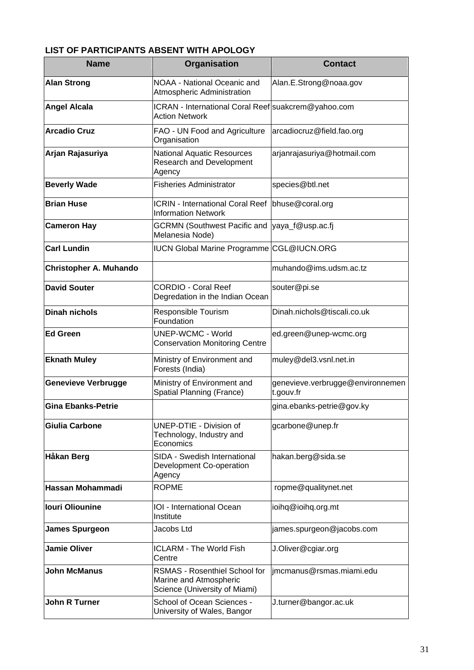# <span id="page-30-0"></span>**LIST OF PARTICIPANTS ABSENT WITH APOLOGY**

| <b>Name</b>                | Organisation                                                                                    | <b>Contact</b>                                |
|----------------------------|-------------------------------------------------------------------------------------------------|-----------------------------------------------|
| <b>Alan Strong</b>         | NOAA - National Oceanic and<br><b>Atmospheric Administration</b>                                | Alan.E.Strong@noaa.gov                        |
| <b>Angel Alcala</b>        | ICRAN - International Coral Reef suakcrem@yahoo.com<br><b>Action Network</b>                    |                                               |
| <b>Arcadio Cruz</b>        | FAO - UN Food and Agriculture<br>Organisation                                                   | arcadiocruz@field.fao.org                     |
| Arjan Rajasuriya           | <b>National Aquatic Resources</b><br><b>Research and Development</b><br>Agency                  | arjanrajasuriya@hotmail.com                   |
| <b>Beverly Wade</b>        | <b>Fisheries Administrator</b>                                                                  | species@btl.net                               |
| <b>Brian Huse</b>          | <b>ICRIN - International Coral Reef</b><br><b>Information Network</b>                           | bhuse@coral.org                               |
| <b>Cameron Hay</b>         | <b>GCRMN (Southwest Pacific and</b><br>Melanesia Node)                                          | yaya_f@usp.ac.fj                              |
| <b>Carl Lundin</b>         | IUCN Global Marine Programme CGL@IUCN.ORG                                                       |                                               |
| Christopher A. Muhando     |                                                                                                 | muhando@ims.udsm.ac.tz                        |
| <b>David Souter</b>        | <b>CORDIO - Coral Reef</b><br>Degredation in the Indian Ocean                                   | souter@pi.se                                  |
| <b>Dinah nichols</b>       | Responsible Tourism<br>Foundation                                                               | Dinah.nichols@tiscali.co.uk                   |
| <b>Ed Green</b>            | <b>UNEP-WCMC - World</b><br><b>Conservation Monitoring Centre</b>                               | ed.green@unep-wcmc.org                        |
| <b>Eknath Muley</b>        | Ministry of Environment and<br>Forests (India)                                                  | muley@del3.vsnl.net.in                        |
| <b>Genevieve Verbrugge</b> | Ministry of Environment and<br>Spatial Planning (France)                                        | genevieve.verbrugge@environnemen<br>t.gouv.fr |
| <b>Gina Ebanks-Petrie</b>  |                                                                                                 | gina.ebanks-petrie@gov.ky                     |
| <b>Giulia Carbone</b>      | UNEP-DTIE - Division of<br>Technology, Industry and<br>Economics                                | gcarbone@unep.fr                              |
| <b>Håkan Berg</b>          | SIDA - Swedish International<br>Development Co-operation<br>Agency                              | hakan.berg@sida.se                            |
| Hassan Mohammadi           | <b>ROPME</b>                                                                                    | ropme@qualitynet.net                          |
| <b>Iouri Oliounine</b>     | <b>IOI</b> - International Ocean<br>Institute                                                   | ioihq@ioihq.org.mt                            |
| <b>James Spurgeon</b>      | Jacobs Ltd                                                                                      | james.spurgeon@jacobs.com                     |
| <b>Jamie Oliver</b>        | <b>ICLARM - The World Fish</b><br>Centre                                                        | J.Oliver@cgiar.org                            |
| <b>John McManus</b>        | <b>RSMAS - Rosenthiel School for</b><br>Marine and Atmospheric<br>Science (University of Miami) | jmcmanus@rsmas.miami.edu                      |
| <b>John R Turner</b>       | School of Ocean Sciences -<br>University of Wales, Bangor                                       | J.turner@bangor.ac.uk                         |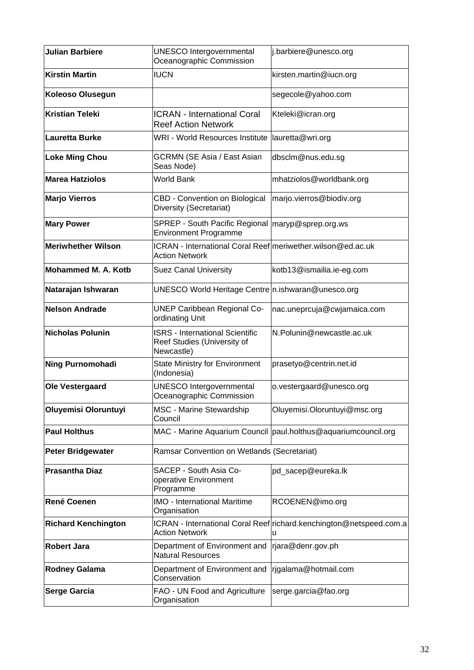| <b>Julian Barbiere</b>     | <b>UNESCO Intergovernmental</b><br>Oceanographic Commission                          | j.barbiere@unesco.org                                                    |
|----------------------------|--------------------------------------------------------------------------------------|--------------------------------------------------------------------------|
| <b>Kirstin Martin</b>      | <b>IUCN</b>                                                                          | kirsten.martin@iucn.org                                                  |
| <b>Koleoso Olusegun</b>    |                                                                                      | segecole@yahoo.com                                                       |
| <b>Kristian Teleki</b>     | <b>ICRAN - International Coral</b><br><b>Reef Action Network</b>                     | Kteleki@icran.org                                                        |
| Lauretta Burke             | WRI - World Resources Institute                                                      | lauretta@wri.org                                                         |
| <b>Loke Ming Chou</b>      | <b>GCRMN (SE Asia / East Asian</b><br>Seas Node)                                     | dbsclm@nus.edu.sg                                                        |
| <b>Marea Hatziolos</b>     | World Bank                                                                           | mhatziolos@worldbank.org                                                 |
| <b>Marjo Vierros</b>       | CBD - Convention on Biological<br>Diversity (Secretariat)                            | marjo.vierros@biodiv.org                                                 |
| <b>Mary Power</b>          | SPREP - South Pacific Regional   maryp@sprep.org.ws<br><b>Environment Programme</b>  |                                                                          |
| <b>Meriwhether Wilson</b>  | ICRAN - International Coral Reef meriwether wilson@ed.ac.uk<br><b>Action Network</b> |                                                                          |
| Mohammed M. A. Kotb        | <b>Suez Canal University</b>                                                         | kotb13@ismailia.ie-eg.com                                                |
| Natarajan Ishwaran         | UNESCO World Heritage Centre n.ishwaran@unesco.org                                   |                                                                          |
| <b>Nelson Andrade</b>      | <b>UNEP Caribbean Regional Co-</b><br>ordinating Unit                                | nac.uneprcuja@cwjamaica.com                                              |
| Nicholas Polunin           | <b>ISRS - International Scientific</b><br>Reef Studies (University of<br>Newcastle)  | N.Polunin@newcastle.ac.uk                                                |
| <b>Ning Purnomohadi</b>    | <b>State Ministry for Environment</b><br>(Indonesia)                                 | prasetyo@centrin.net.id                                                  |
| Ole Vestergaard            | UNESCO Intergovernmental<br>Oceanographic Commission                                 | o.vestergaard@unesco.org                                                 |
| Oluyemisi Oloruntuyi       | MSC - Marine Stewardship<br>Council                                                  | Oluyemisi.Oloruntuyi@msc.org                                             |
| <b>Paul Holthus</b>        |                                                                                      | MAC - Marine Aquarium Council   paul.holthus@aquariumcouncil.org         |
| <b>Peter Bridgewater</b>   | Ramsar Convention on Wetlands (Secretariat)                                          |                                                                          |
| <b>Prasantha Diaz</b>      | SACEP - South Asia Co-<br>operative Environment<br>Programme                         | pd_sacep@eureka.lk                                                       |
| <b>René Coenen</b>         | <b>IMO - International Maritime</b><br>Organisation                                  | RCOENEN@imo.org                                                          |
| <b>Richard Kenchington</b> | <b>Action Network</b>                                                                | ICRAN - International Coral Reef richard.kenchington@netspeed.com.a<br>u |
| <b>Robert Jara</b>         | Department of Environment and<br><b>Natural Resources</b>                            | rjara@denr.gov.ph                                                        |
| <b>Rodney Galama</b>       | Department of Environment and<br>Conservation                                        | rjgalama@hotmail.com                                                     |
| <b>Serge Garcia</b>        | FAO - UN Food and Agriculture<br>Organisation                                        | serge.garcia@fao.org                                                     |